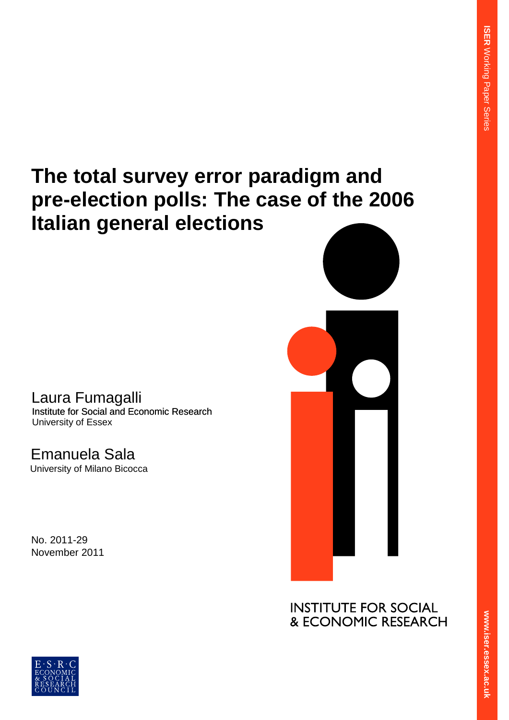# **The total survey error paradigm and pre-election polls: The case of the 2006 Italian general elections**

Laura Fumagalli Institute for Social and Economic Research University of Essex

Emanuela Sala University of Milano Bicocca

No. 2011-29 November 2011



**INSTITUTE FOR SOCIAL** & ECONOMIC RESEARCH

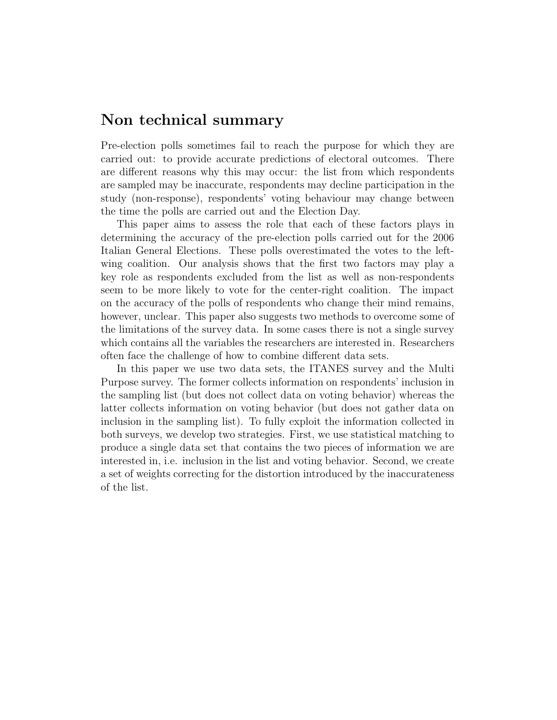# Non technical summary

Pre-election polls sometimes fail to reach the purpose for which they are carried out: to provide accurate predictions of electoral outcomes. There are different reasons why this may occur: the list from which respondents are sampled may be inaccurate, respondents may decline participation in the study (non-response), respondents' voting behaviour may change between the time the polls are carried out and the Election Day.

This paper aims to assess the role that each of these factors plays in determining the accuracy of the pre-election polls carried out for the 2006 Italian General Elections. These polls overestimated the votes to the leftwing coalition. Our analysis shows that the first two factors may play a key role as respondents excluded from the list as well as non-respondents seem to be more likely to vote for the center-right coalition. The impact on the accuracy of the polls of respondents who change their mind remains, however, unclear. This paper also suggests two methods to overcome some of the limitations of the survey data. In some cases there is not a single survey which contains all the variables the researchers are interested in. Researchers often face the challenge of how to combine different data sets.

In this paper we use two data sets, the ITANES survey and the Multi Purpose survey. The former collects information on respondents' inclusion in the sampling list (but does not collect data on voting behavior) whereas the latter collects information on voting behavior (but does not gather data on inclusion in the sampling list). To fully exploit the information collected in both surveys, we develop two strategies. First, we use statistical matching to produce a single data set that contains the two pieces of information we are interested in, i.e. inclusion in the list and voting behavior. Second, we create a set of weights correcting for the distortion introduced by the inaccurateness of the list.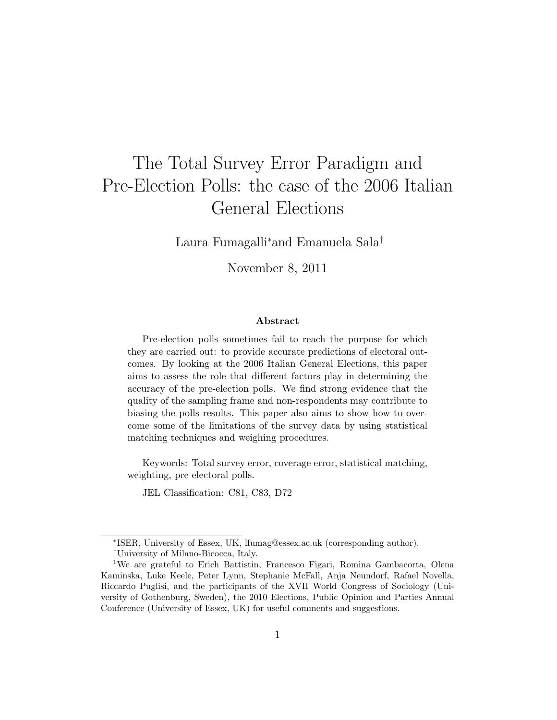# The Total Survey Error Paradigm and Pre-Election Polls: the case of the 2006 Italian General Elections

Laura Fumagalli<sup>∗</sup>and Emanuela Sala†

November 8, 2011

#### Abstract

Pre-election polls sometimes fail to reach the purpose for which they are carried out: to provide accurate predictions of electoral outcomes. By looking at the 2006 Italian General Elections, this paper aims to assess the role that different factors play in determining the accuracy of the pre-election polls. We find strong evidence that the quality of the sampling frame and non-respondents may contribute to biasing the polls results. This paper also aims to show how to overcome some of the limitations of the survey data by using statistical matching techniques and weighing procedures.

Keywords: Total survey error, coverage error, statistical matching, weighting, pre electoral polls.

JEL Classification: C81, C83, D72

<sup>∗</sup> ISER, University of Essex, UK, lfumag@essex.ac.uk (corresponding author). †University of Milano-Bicocca, Italy.

<sup>&</sup>lt;sup>1</sup>We are grateful to Erich Battistin, Francesco Figari, Romina Gambacorta, Olena Kaminska, Luke Keele, Peter Lynn, Stephanie McFall, Anja Neundorf, Rafael Novella, Riccardo Puglisi, and the participants of the XVII World Congress of Sociology (University of Gothenburg, Sweden), the 2010 Elections, Public Opinion and Parties Annual Conference (University of Essex, UK) for useful comments and suggestions.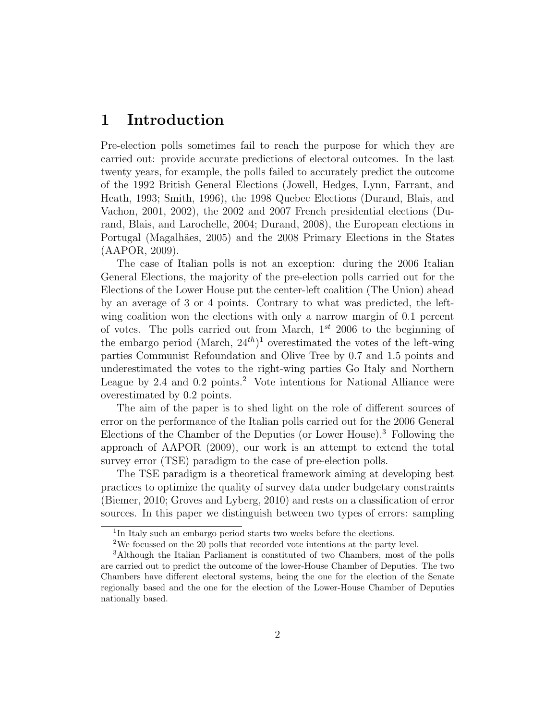## 1 Introduction

Pre-election polls sometimes fail to reach the purpose for which they are carried out: provide accurate predictions of electoral outcomes. In the last twenty years, for example, the polls failed to accurately predict the outcome of the 1992 British General Elections (Jowell, Hedges, Lynn, Farrant, and Heath, 1993; Smith, 1996), the 1998 Quebec Elections (Durand, Blais, and Vachon, 2001, 2002), the 2002 and 2007 French presidential elections (Durand, Blais, and Larochelle, 2004; Durand, 2008), the European elections in Portugal (Magalhães, 2005) and the 2008 Primary Elections in the States (AAPOR, 2009).

The case of Italian polls is not an exception: during the 2006 Italian General Elections, the majority of the pre-election polls carried out for the Elections of the Lower House put the center-left coalition (The Union) ahead by an average of 3 or 4 points. Contrary to what was predicted, the leftwing coalition won the elections with only a narrow margin of 0.1 percent of votes. The polls carried out from March,  $1^{st}$  2006 to the beginning of the embargo period (March,  $24^{th}$ )<sup>1</sup> overestimated the votes of the left-wing parties Communist Refoundation and Olive Tree by 0.7 and 1.5 points and underestimated the votes to the right-wing parties Go Italy and Northern League by 2.4 and 0.2 points.<sup>2</sup> Vote intentions for National Alliance were overestimated by 0.2 points.

The aim of the paper is to shed light on the role of different sources of error on the performance of the Italian polls carried out for the 2006 General Elections of the Chamber of the Deputies (or Lower House).<sup>3</sup> Following the approach of AAPOR (2009), our work is an attempt to extend the total survey error (TSE) paradigm to the case of pre-election polls.

The TSE paradigm is a theoretical framework aiming at developing best practices to optimize the quality of survey data under budgetary constraints (Biemer, 2010; Groves and Lyberg, 2010) and rests on a classification of error sources. In this paper we distinguish between two types of errors: sampling

<sup>&</sup>lt;sup>1</sup>In Italy such an embargo period starts two weeks before the elections.

<sup>2</sup>We focussed on the 20 polls that recorded vote intentions at the party level.

<sup>3</sup>Although the Italian Parliament is constituted of two Chambers, most of the polls are carried out to predict the outcome of the lower-House Chamber of Deputies. The two Chambers have different electoral systems, being the one for the election of the Senate regionally based and the one for the election of the Lower-House Chamber of Deputies nationally based.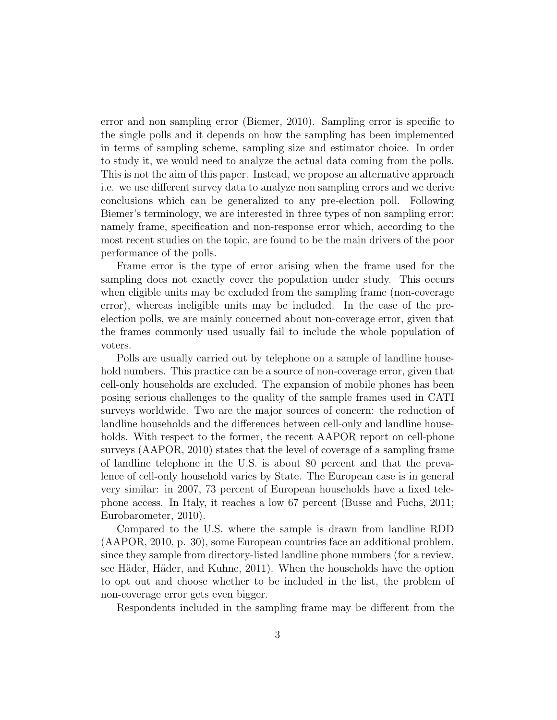error and non sampling error (Biemer, 2010). Sampling error is specific to the single polls and it depends on how the sampling has been implemented in terms of sampling scheme, sampling size and estimator choice. In order to study it, we would need to analyze the actual data coming from the polls. This is not the aim of this paper. Instead, we propose an alternative approach i.e. we use different survey data to analyze non sampling errors and we derive conclusions which can be generalized to any pre-election poll. Following Biemer's terminology, we are interested in three types of non sampling error: namely frame, specification and non-response error which, according to the most recent studies on the topic, are found to be the main drivers of the poor performance of the polls.

Frame error is the type of error arising when the frame used for the sampling does not exactly cover the population under study. This occurs when eligible units may be excluded from the sampling frame (non-coverage error), whereas ineligible units may be included. In the case of the preelection polls, we are mainly concerned about non-coverage error, given that the frames commonly used usually fail to include the whole population of voters.

Polls are usually carried out by telephone on a sample of landline household numbers. This practice can be a source of non-coverage error, given that cell-only households are excluded. The expansion of mobile phones has been posing serious challenges to the quality of the sample frames used in CATI surveys worldwide. Two are the major sources of concern: the reduction of landline households and the differences between cell-only and landline households. With respect to the former, the recent AAPOR report on cell-phone surveys (AAPOR, 2010) states that the level of coverage of a sampling frame of landline telephone in the U.S. is about 80 percent and that the prevalence of cell-only household varies by State. The European case is in general very similar: in 2007, 73 percent of European households have a fixed telephone access. In Italy, it reaches a low 67 percent (Busse and Fuchs, 2011; Eurobarometer, 2010).

Compared to the U.S. where the sample is drawn from landline RDD (AAPOR, 2010, p. 30), some European countries face an additional problem, since they sample from directory-listed landline phone numbers (for a review, see Häder, Häder, and Kuhne, 2011). When the households have the option to opt out and choose whether to be included in the list, the problem of non-coverage error gets even bigger.

Respondents included in the sampling frame may be different from the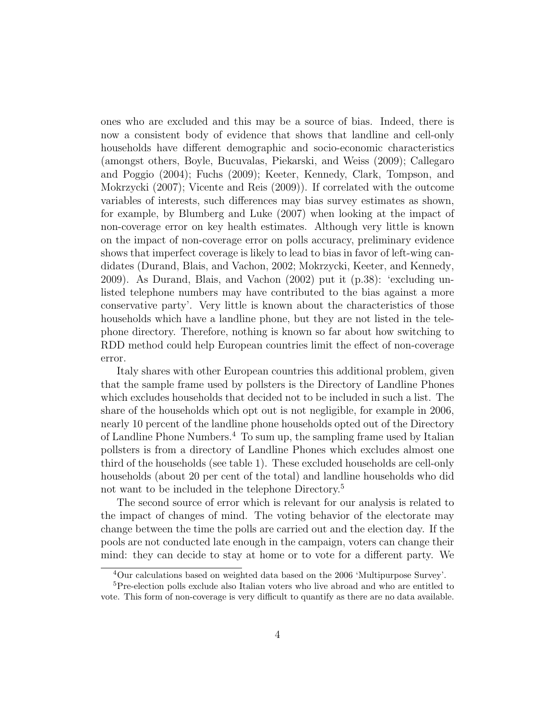ones who are excluded and this may be a source of bias. Indeed, there is now a consistent body of evidence that shows that landline and cell-only households have different demographic and socio-economic characteristics (amongst others, Boyle, Bucuvalas, Piekarski, and Weiss (2009); Callegaro and Poggio (2004); Fuchs (2009); Keeter, Kennedy, Clark, Tompson, and Mokrzycki (2007); Vicente and Reis (2009)). If correlated with the outcome variables of interests, such differences may bias survey estimates as shown, for example, by Blumberg and Luke (2007) when looking at the impact of non-coverage error on key health estimates. Although very little is known on the impact of non-coverage error on polls accuracy, preliminary evidence shows that imperfect coverage is likely to lead to bias in favor of left-wing candidates (Durand, Blais, and Vachon, 2002; Mokrzycki, Keeter, and Kennedy, 2009). As Durand, Blais, and Vachon (2002) put it (p.38): 'excluding unlisted telephone numbers may have contributed to the bias against a more conservative party'. Very little is known about the characteristics of those households which have a landline phone, but they are not listed in the telephone directory. Therefore, nothing is known so far about how switching to RDD method could help European countries limit the effect of non-coverage error.

Italy shares with other European countries this additional problem, given that the sample frame used by pollsters is the Directory of Landline Phones which excludes households that decided not to be included in such a list. The share of the households which opt out is not negligible, for example in 2006, nearly 10 percent of the landline phone households opted out of the Directory of Landline Phone Numbers.<sup>4</sup> To sum up, the sampling frame used by Italian pollsters is from a directory of Landline Phones which excludes almost one third of the households (see table 1). These excluded households are cell-only households (about 20 per cent of the total) and landline households who did not want to be included in the telephone Directory.<sup>5</sup>

The second source of error which is relevant for our analysis is related to the impact of changes of mind. The voting behavior of the electorate may change between the time the polls are carried out and the election day. If the pools are not conducted late enough in the campaign, voters can change their mind: they can decide to stay at home or to vote for a different party. We

<sup>4</sup>Our calculations based on weighted data based on the 2006 'Multipurpose Survey'.

<sup>&</sup>lt;sup>5</sup>Pre-election polls exclude also Italian voters who live abroad and who are entitled to vote. This form of non-coverage is very difficult to quantify as there are no data available.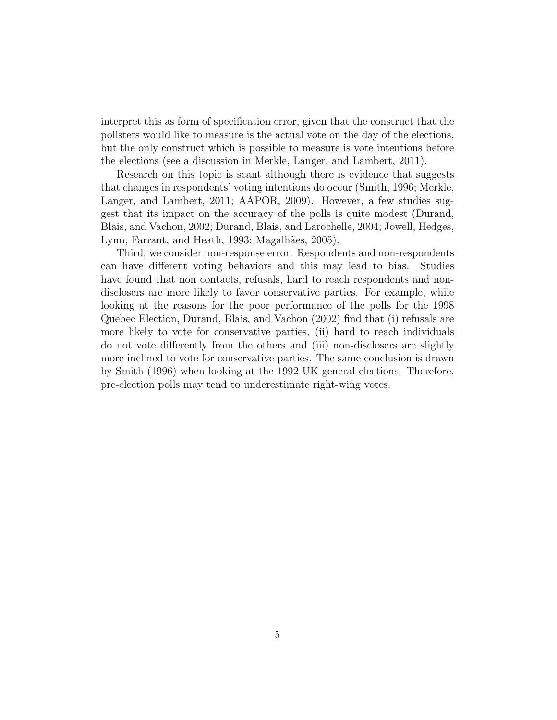interpret this as form of specification error, given that the construct that the pollsters would like to measure is the actual vote on the day of the elections, but the only construct which is possible to measure is vote intentions before the elections (see a discussion in Merkle, Langer, and Lambert, 2011).

Research on this topic is scant although there is evidence that suggests that changes in respondents' voting intentions do occur (Smith, 1996; Merkle, Langer, and Lambert, 2011; AAPOR, 2009). However, a few studies suggest that its impact on the accuracy of the polls is quite modest (Durand, Blais, and Vachon, 2002; Durand, Blais, and Larochelle, 2004; Jowell, Hedges, Lynn, Farrant, and Heath, 1993; Magalhães, 2005).

Third, we consider non-response error. Respondents and non-respondents can have different voting behaviors and this may lead to bias. Studies have found that non contacts, refusals, hard to reach respondents and nondisclosers are more likely to favor conservative parties. For example, while looking at the reasons for the poor performance of the polls for the 1998 Quebec Election, Durand, Blais, and Vachon (2002) find that (i) refusals are more likely to vote for conservative parties, (ii) hard to reach individuals do not vote differently from the others and (iii) non-disclosers are slightly more inclined to vote for conservative parties. The same conclusion is drawn by Smith (1996) when looking at the 1992 UK general elections. Therefore, pre-election polls may tend to underestimate right-wing votes.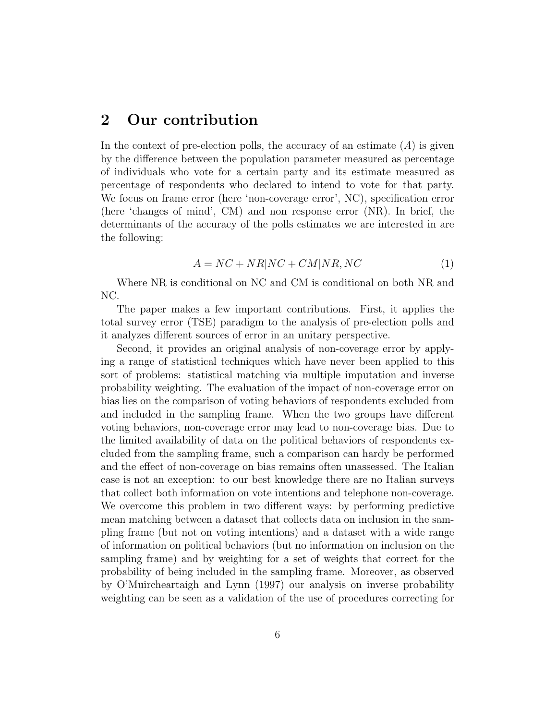## 2 Our contribution

In the context of pre-election polls, the accuracy of an estimate  $(A)$  is given by the difference between the population parameter measured as percentage of individuals who vote for a certain party and its estimate measured as percentage of respondents who declared to intend to vote for that party. We focus on frame error (here 'non-coverage error', NC), specification error (here 'changes of mind', CM) and non response error (NR). In brief, the determinants of the accuracy of the polls estimates we are interested in are the following:

$$
A = NC + NR|NC + CM|NR, NC \tag{1}
$$

Where NR is conditional on NC and CM is conditional on both NR and NC.

The paper makes a few important contributions. First, it applies the total survey error (TSE) paradigm to the analysis of pre-election polls and it analyzes different sources of error in an unitary perspective.

Second, it provides an original analysis of non-coverage error by applying a range of statistical techniques which have never been applied to this sort of problems: statistical matching via multiple imputation and inverse probability weighting. The evaluation of the impact of non-coverage error on bias lies on the comparison of voting behaviors of respondents excluded from and included in the sampling frame. When the two groups have different voting behaviors, non-coverage error may lead to non-coverage bias. Due to the limited availability of data on the political behaviors of respondents excluded from the sampling frame, such a comparison can hardy be performed and the effect of non-coverage on bias remains often unassessed. The Italian case is not an exception: to our best knowledge there are no Italian surveys that collect both information on vote intentions and telephone non-coverage. We overcome this problem in two different ways: by performing predictive mean matching between a dataset that collects data on inclusion in the sampling frame (but not on voting intentions) and a dataset with a wide range of information on political behaviors (but no information on inclusion on the sampling frame) and by weighting for a set of weights that correct for the probability of being included in the sampling frame. Moreover, as observed by O'Muircheartaigh and Lynn (1997) our analysis on inverse probability weighting can be seen as a validation of the use of procedures correcting for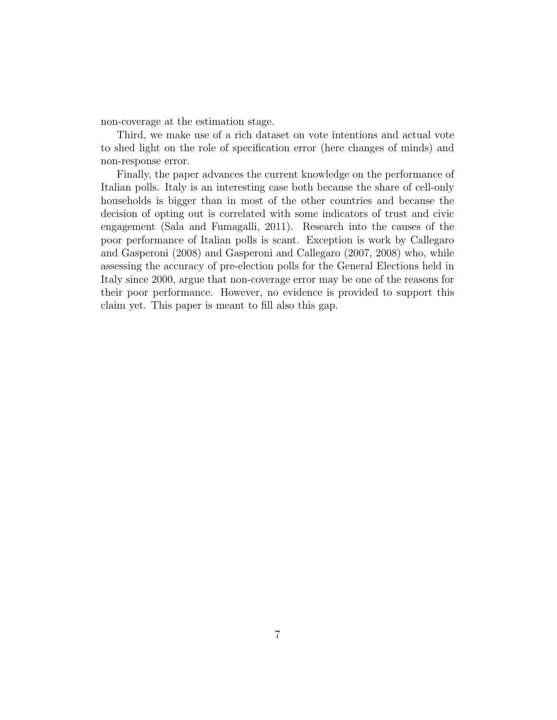non-coverage at the estimation stage.

Third, we make use of a rich dataset on vote intentions and actual vote to shed light on the role of specification error (here changes of minds) and non-response error.

Finally, the paper advances the current knowledge on the performance of Italian polls. Italy is an interesting case both because the share of cell-only households is bigger than in most of the other countries and because the decision of opting out is correlated with some indicators of trust and civic engagement (Sala and Fumagalli, 2011). Research into the causes of the poor performance of Italian polls is scant. Exception is work by Callegaro and Gasperoni (2008) and Gasperoni and Callegaro (2007, 2008) who, while assessing the accuracy of pre-election polls for the General Elections held in Italy since 2000, argue that non-coverage error may be one of the reasons for their poor performance. However, no evidence is provided to support this claim yet. This paper is meant to fill also this gap.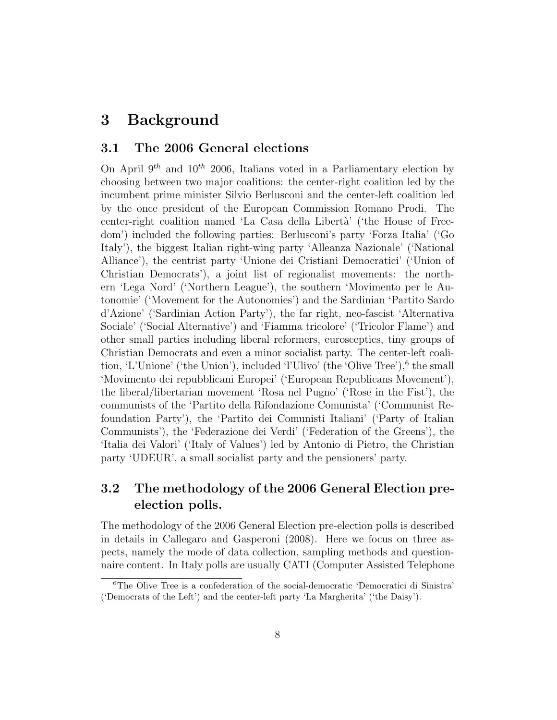# 3 Background

#### 3.1 The 2006 General elections

On April  $9^{th}$  and  $10^{th}$  2006, Italians voted in a Parliamentary election by choosing between two major coalitions: the center-right coalition led by the incumbent prime minister Silvio Berlusconi and the center-left coalition led by the once president of the European Commission Romano Prodi. The center-right coalition named 'La Casa della Libertà' ('the House of Freedom') included the following parties: Berlusconi's party 'Forza Italia' ('Go Italy'), the biggest Italian right-wing party 'Alleanza Nazionale' ('National Alliance'), the centrist party 'Unione dei Cristiani Democratici' ('Union of Christian Democrats'), a joint list of regionalist movements: the northern 'Lega Nord' ('Northern League'), the southern 'Movimento per le Autonomie' ('Movement for the Autonomies') and the Sardinian 'Partito Sardo d'Azione' ('Sardinian Action Party'), the far right, neo-fascist 'Alternativa Sociale' ('Social Alternative') and 'Fiamma tricolore' ('Tricolor Flame') and other small parties including liberal reformers, eurosceptics, tiny groups of Christian Democrats and even a minor socialist party. The center-left coalition, 'L'Unione' ('the Union'), included 'l'Ulivo' (the 'Olive Tree'),<sup>6</sup> the small 'Movimento dei repubblicani Europei' ('European Republicans Movement'), the liberal/libertarian movement 'Rosa nel Pugno' ('Rose in the Fist'), the communists of the 'Partito della Rifondazione Comunista' ('Communist Refoundation Party'), the 'Partito dei Comunisti Italiani' ('Party of Italian Communists'), the 'Federazione dei Verdi' ('Federation of the Greens'), the 'Italia dei Valori' ('Italy of Values') led by Antonio di Pietro, the Christian party 'UDEUR', a small socialist party and the pensioners' party.

## 3.2 The methodology of the 2006 General Election preelection polls.

The methodology of the 2006 General Election pre-election polls is described in details in Callegaro and Gasperoni (2008). Here we focus on three aspects, namely the mode of data collection, sampling methods and questionnaire content. In Italy polls are usually CATI (Computer Assisted Telephone

<sup>6</sup>The Olive Tree is a confederation of the social-democratic 'Democratici di Sinistra' ('Democrats of the Left') and the center-left party 'La Margherita' ('the Daisy').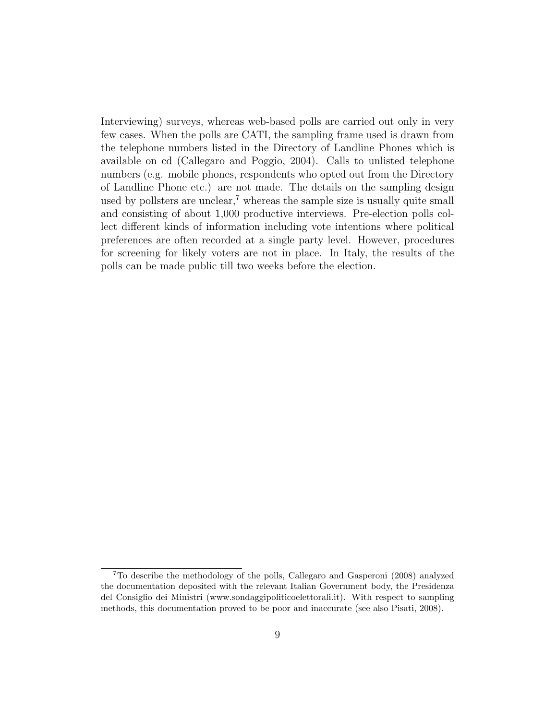Interviewing) surveys, whereas web-based polls are carried out only in very few cases. When the polls are CATI, the sampling frame used is drawn from the telephone numbers listed in the Directory of Landline Phones which is available on cd (Callegaro and Poggio, 2004). Calls to unlisted telephone numbers (e.g. mobile phones, respondents who opted out from the Directory of Landline Phone etc.) are not made. The details on the sampling design used by pollsters are unclear,<sup> $7$ </sup> whereas the sample size is usually quite small and consisting of about 1,000 productive interviews. Pre-election polls collect different kinds of information including vote intentions where political preferences are often recorded at a single party level. However, procedures for screening for likely voters are not in place. In Italy, the results of the polls can be made public till two weeks before the election.

<sup>7</sup>To describe the methodology of the polls, Callegaro and Gasperoni (2008) analyzed the documentation deposited with the relevant Italian Government body, the Presidenza del Consiglio dei Ministri (www.sondaggipoliticoelettorali.it). With respect to sampling methods, this documentation proved to be poor and inaccurate (see also Pisati, 2008).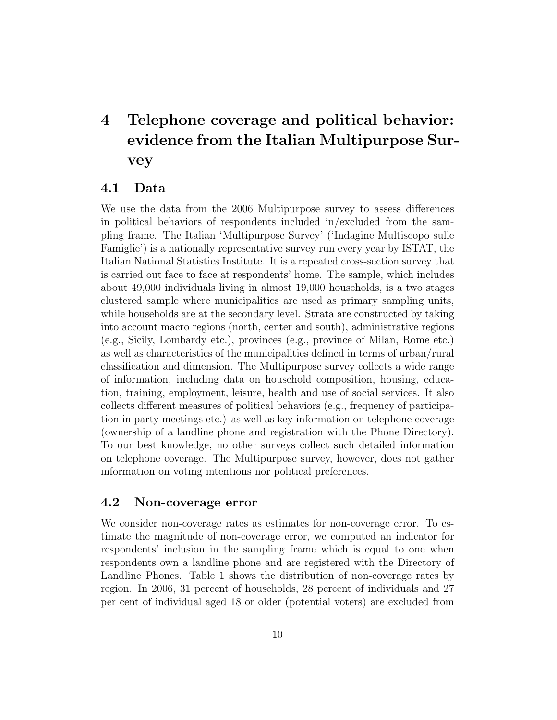# 4 Telephone coverage and political behavior: evidence from the Italian Multipurpose Survey

#### 4.1 Data

We use the data from the 2006 Multipurpose survey to assess differences in political behaviors of respondents included in/excluded from the sampling frame. The Italian 'Multipurpose Survey' ('Indagine Multiscopo sulle Famiglie') is a nationally representative survey run every year by ISTAT, the Italian National Statistics Institute. It is a repeated cross-section survey that is carried out face to face at respondents' home. The sample, which includes about 49,000 individuals living in almost 19,000 households, is a two stages clustered sample where municipalities are used as primary sampling units, while households are at the secondary level. Strata are constructed by taking into account macro regions (north, center and south), administrative regions (e.g., Sicily, Lombardy etc.), provinces (e.g., province of Milan, Rome etc.) as well as characteristics of the municipalities defined in terms of urban/rural classification and dimension. The Multipurpose survey collects a wide range of information, including data on household composition, housing, education, training, employment, leisure, health and use of social services. It also collects different measures of political behaviors (e.g., frequency of participation in party meetings etc.) as well as key information on telephone coverage (ownership of a landline phone and registration with the Phone Directory). To our best knowledge, no other surveys collect such detailed information on telephone coverage. The Multipurpose survey, however, does not gather information on voting intentions nor political preferences.

#### 4.2 Non-coverage error

We consider non-coverage rates as estimates for non-coverage error. To estimate the magnitude of non-coverage error, we computed an indicator for respondents' inclusion in the sampling frame which is equal to one when respondents own a landline phone and are registered with the Directory of Landline Phones. Table 1 shows the distribution of non-coverage rates by region. In 2006, 31 percent of households, 28 percent of individuals and 27 per cent of individual aged 18 or older (potential voters) are excluded from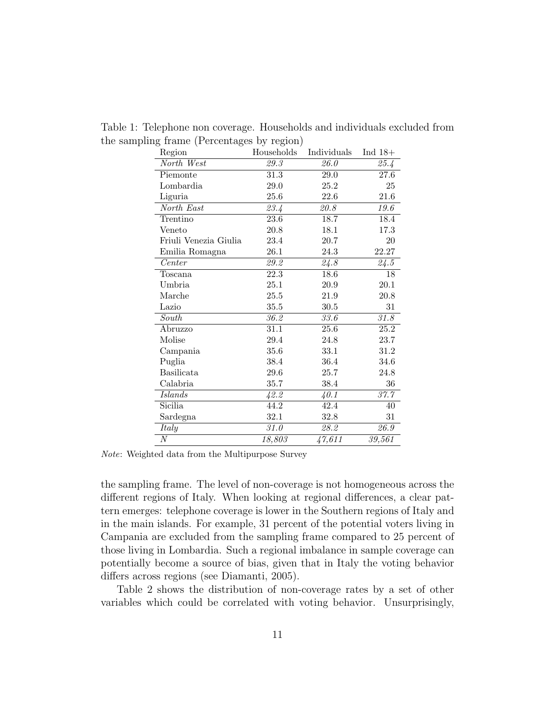| Region                | Households | Individuals | Ind $18+$ |
|-----------------------|------------|-------------|-----------|
| North West            | 29.3       | 26.0        | 25.4      |
| Piemonte              | $31.3\,$   | 29.0        | 27.6      |
| Lombardia             | 29.0       | 25.2        | 25        |
| Liguria               | 25.6       | 22.6        | 21.6      |
| North East            | 23.4       | 20.8        | 19.6      |
| Trentino              | 23.6       | 18.7        | 18.4      |
| Veneto                | 20.8       | 18.1        | 17.3      |
| Friuli Venezia Giulia | 23.4       | 20.7        | 20        |
| Emilia Romagna        | $26.1\,$   | $24.3\,$    | 22.27     |
| Center                | 29.2       | 24.8        | 24.5      |
| Toscana               | 22.3       | 18.6        | 18        |
| Umbria                | $25.1\,$   | 20.9        | 20.1      |
| Marche                | 25.5       | 21.9        | 20.8      |
| Lazio                 | 35.5       | $30.5\,$    | 31        |
| South                 | 36.2       | 33.6        | 31.8      |
| Abruzzo               | 31.1       | 25.6        | 25.2      |
| Molise                | 29.4       | 24.8        | 23.7      |
| Campania              | 35.6       | 33.1        | 31.2      |
| Puglia                | 38.4       | 36.4        | 34.6      |
| <b>Basilicata</b>     | 29.6       | 25.7        | 24.8      |
| Calabria              | 35.7       | 38.4        | 36        |
| Islands               | 42.2       | 40.1        | 37.7      |
| Sicilia               | 44.2       | 42.4        | 40        |
| Sardegna              | 32.1       | 32.8        | 31        |
| Italy                 | $31.0\,$   | 28.2        | 26.9      |
| $\boldsymbol{N}$      | 18,803     | 47,611      | 39,561    |

Table 1: Telephone non coverage. Households and individuals excluded from the sampling frame (Percentages by region)

Note: Weighted data from the Multipurpose Survey

the sampling frame. The level of non-coverage is not homogeneous across the different regions of Italy. When looking at regional differences, a clear pattern emerges: telephone coverage is lower in the Southern regions of Italy and in the main islands. For example, 31 percent of the potential voters living in Campania are excluded from the sampling frame compared to 25 percent of those living in Lombardia. Such a regional imbalance in sample coverage can potentially become a source of bias, given that in Italy the voting behavior differs across regions (see Diamanti, 2005).

Table 2 shows the distribution of non-coverage rates by a set of other variables which could be correlated with voting behavior. Unsurprisingly,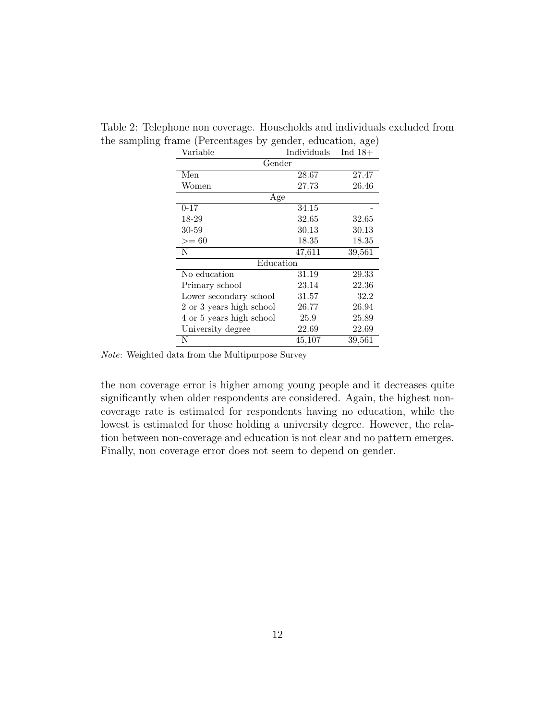| Variable                 | Individuals | Ind $18+$ |
|--------------------------|-------------|-----------|
| Gender                   |             |           |
| Men                      | 28.67       | 27.47     |
| Women                    | 27.73       | 26.46     |
| Age                      |             |           |
| $0 - 17$                 | 34.15       |           |
| 18-29                    | 32.65       | 32.65     |
| 30-59                    | 30.13       | 30.13     |
| $>= 60$                  | 18.35       | 18.35     |
| N                        | 47,611      | 39,561    |
| Education                |             |           |
| No education             | 31.19       | 29.33     |
| Primary school           | 23.14       | 22.36     |
| Lower secondary school   | 31.57       | 32.2      |
| 2 or 3 years high school | 26.77       | 26.94     |
| 4 or 5 years high school | 25.9        | 25.89     |
| University degree        | 22.69       | 22.69     |
| N                        | 45,107      | 39,561    |

Table 2: Telephone non coverage. Households and individuals excluded from the sampling frame (Percentages by gender, education, age)

Note: Weighted data from the Multipurpose Survey

the non coverage error is higher among young people and it decreases quite significantly when older respondents are considered. Again, the highest noncoverage rate is estimated for respondents having no education, while the lowest is estimated for those holding a university degree. However, the relation between non-coverage and education is not clear and no pattern emerges. Finally, non coverage error does not seem to depend on gender.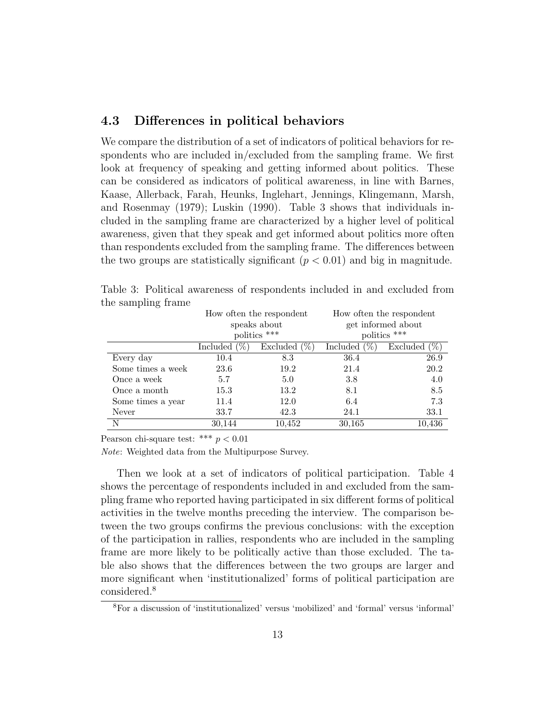#### 4.3 Differences in political behaviors

We compare the distribution of a set of indicators of political behaviors for respondents who are included in/excluded from the sampling frame. We first look at frequency of speaking and getting informed about politics. These can be considered as indicators of political awareness, in line with Barnes, Kaase, Allerback, Farah, Heunks, Inglehart, Jennings, Klingemann, Marsh, and Rosenmay (1979); Luskin (1990). Table 3 shows that individuals included in the sampling frame are characterized by a higher level of political awareness, given that they speak and get informed about politics more often than respondents excluded from the sampling frame. The differences between the two groups are statistically significant  $(p < 0.01)$  and big in magnitude.

| ne baniping name  |                    |                                                          |                                                                |                    |  |  |  |  |  |  |
|-------------------|--------------------|----------------------------------------------------------|----------------------------------------------------------------|--------------------|--|--|--|--|--|--|
|                   |                    | How often the respondent<br>speaks about<br>politics *** | How often the respondent<br>get informed about<br>politics *** |                    |  |  |  |  |  |  |
|                   | $(\%)$<br>Included | Excluded $(\%)$                                          | Included $(\%)$                                                | Excluded<br>$(\%)$ |  |  |  |  |  |  |
| Every day         | 10.4               | 8.3                                                      | 36.4                                                           | 26.9               |  |  |  |  |  |  |
| Some times a week | 23.6               | 19.2                                                     | 21.4                                                           | 20.2               |  |  |  |  |  |  |
| Once a week       | 5.7                | 5.0                                                      | 3.8                                                            | 4.0                |  |  |  |  |  |  |
| Once a month      | 15.3               | 13.2                                                     | 8.1                                                            | 8.5                |  |  |  |  |  |  |
| Some times a year | 11.4               | 12.0                                                     | 6.4                                                            | 7.3                |  |  |  |  |  |  |
| Never             | 33.7               | 42.3                                                     | 24.1                                                           | 33.1               |  |  |  |  |  |  |
| N                 | 30,144             | 10,452                                                   | 30,165                                                         | 10,436             |  |  |  |  |  |  |

Table 3: Political awareness of respondents included in and excluded from the sampling frame

Pearson chi-square test: \*\*\*  $p < 0.01$ 

Note: Weighted data from the Multipurpose Survey.

Then we look at a set of indicators of political participation. Table 4 shows the percentage of respondents included in and excluded from the sampling frame who reported having participated in six different forms of political activities in the twelve months preceding the interview. The comparison between the two groups confirms the previous conclusions: with the exception of the participation in rallies, respondents who are included in the sampling frame are more likely to be politically active than those excluded. The table also shows that the differences between the two groups are larger and more significant when 'institutionalized' forms of political participation are considered.<sup>8</sup>

<sup>8</sup>For a discussion of 'institutionalized' versus 'mobilized' and 'formal' versus 'informal'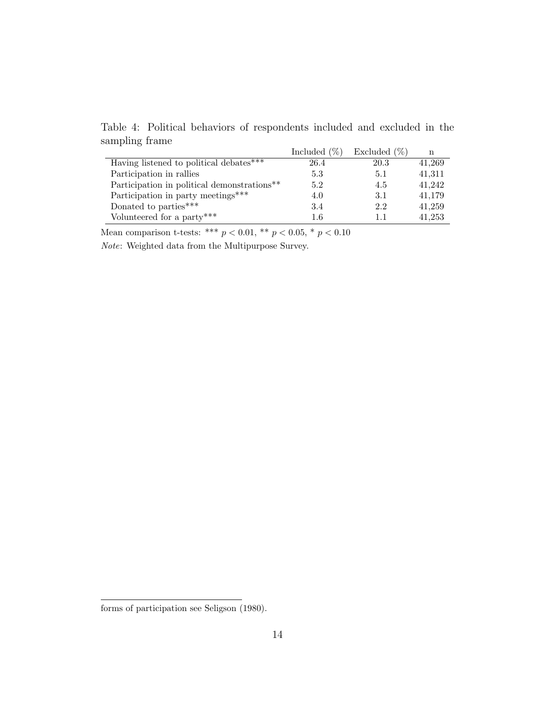Table 4: Political behaviors of respondents included and excluded in the sampling frame Included  $(\emptyset')$  Excluded  $(\emptyset')$ 

|                                             | $\frac{10}{20}$<br>Included | Excluded $(\%)$ | n      |
|---------------------------------------------|-----------------------------|-----------------|--------|
| Having listened to political debates***     | 26.4                        | 20.3            | 41,269 |
| Participation in rallies                    | 5.3                         | 5.1             | 41,311 |
| Participation in political demonstrations** | 5.2                         | 4.5             | 41.242 |
| Participation in party meetings***          | 4.0                         | 3.1             | 41,179 |
| Donated to parties***                       | 3.4                         | 2.2             | 41,259 |
| Volunteered for a party***                  | $1.6\,$                     | 1.1             | 41,253 |

Mean comparison t-tests: \*\*\*  $p < 0.01,$  \*\*  $p < 0.05,$  \*  $p < 0.10$ 

Note: Weighted data from the Multipurpose Survey.

forms of participation see Seligson (1980).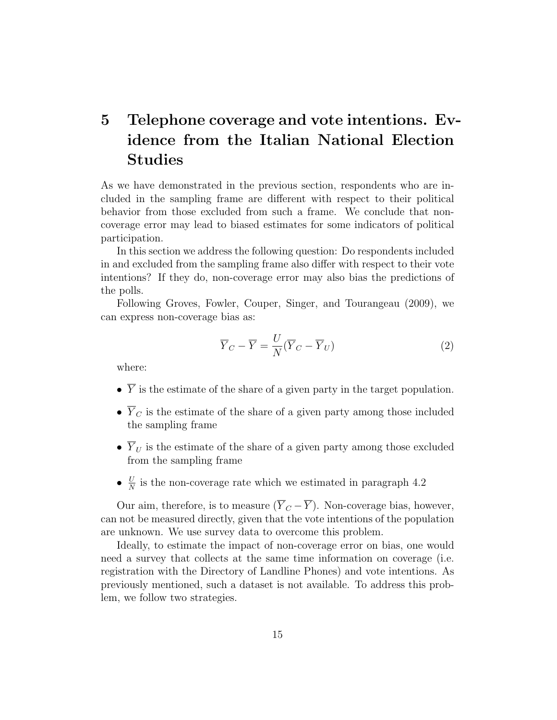# 5 Telephone coverage and vote intentions. Evidence from the Italian National Election Studies

As we have demonstrated in the previous section, respondents who are included in the sampling frame are different with respect to their political behavior from those excluded from such a frame. We conclude that noncoverage error may lead to biased estimates for some indicators of political participation.

In this section we address the following question: Do respondents included in and excluded from the sampling frame also differ with respect to their vote intentions? If they do, non-coverage error may also bias the predictions of the polls.

Following Groves, Fowler, Couper, Singer, and Tourangeau (2009), we can express non-coverage bias as:

$$
\overline{Y}_C - \overline{Y} = \frac{U}{N} (\overline{Y}_C - \overline{Y}_U)
$$
\n(2)

where:

- $\bullet~~\overline{Y}$  is the estimate of the share of a given party in the target population.
- $\overline{Y}_C$  is the estimate of the share of a given party among those included the sampling frame
- $\overline{Y}_U$  is the estimate of the share of a given party among those excluded from the sampling frame
- $\bullet$   $\frac{U}{N}$  $\frac{U}{N}$  is the non-coverage rate which we estimated in paragraph 4.2

Our aim, therefore, is to measure  $(\overline{Y}_C - \overline{Y})$ . Non-coverage bias, however, can not be measured directly, given that the vote intentions of the population are unknown. We use survey data to overcome this problem.

Ideally, to estimate the impact of non-coverage error on bias, one would need a survey that collects at the same time information on coverage (i.e. registration with the Directory of Landline Phones) and vote intentions. As previously mentioned, such a dataset is not available. To address this problem, we follow two strategies.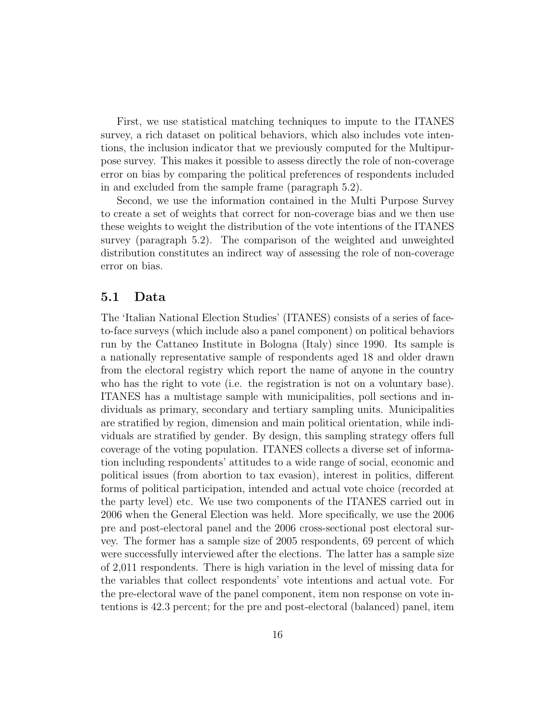First, we use statistical matching techniques to impute to the ITANES survey, a rich dataset on political behaviors, which also includes vote intentions, the inclusion indicator that we previously computed for the Multipurpose survey. This makes it possible to assess directly the role of non-coverage error on bias by comparing the political preferences of respondents included in and excluded from the sample frame (paragraph 5.2).

Second, we use the information contained in the Multi Purpose Survey to create a set of weights that correct for non-coverage bias and we then use these weights to weight the distribution of the vote intentions of the ITANES survey (paragraph 5.2). The comparison of the weighted and unweighted distribution constitutes an indirect way of assessing the role of non-coverage error on bias.

#### 5.1 Data

The 'Italian National Election Studies' (ITANES) consists of a series of faceto-face surveys (which include also a panel component) on political behaviors run by the Cattaneo Institute in Bologna (Italy) since 1990. Its sample is a nationally representative sample of respondents aged 18 and older drawn from the electoral registry which report the name of anyone in the country who has the right to vote (i.e. the registration is not on a voluntary base). ITANES has a multistage sample with municipalities, poll sections and individuals as primary, secondary and tertiary sampling units. Municipalities are stratified by region, dimension and main political orientation, while individuals are stratified by gender. By design, this sampling strategy offers full coverage of the voting population. ITANES collects a diverse set of information including respondents' attitudes to a wide range of social, economic and political issues (from abortion to tax evasion), interest in politics, different forms of political participation, intended and actual vote choice (recorded at the party level) etc. We use two components of the ITANES carried out in 2006 when the General Election was held. More specifically, we use the 2006 pre and post-electoral panel and the 2006 cross-sectional post electoral survey. The former has a sample size of 2005 respondents, 69 percent of which were successfully interviewed after the elections. The latter has a sample size of 2,011 respondents. There is high variation in the level of missing data for the variables that collect respondents' vote intentions and actual vote. For the pre-electoral wave of the panel component, item non response on vote intentions is 42.3 percent; for the pre and post-electoral (balanced) panel, item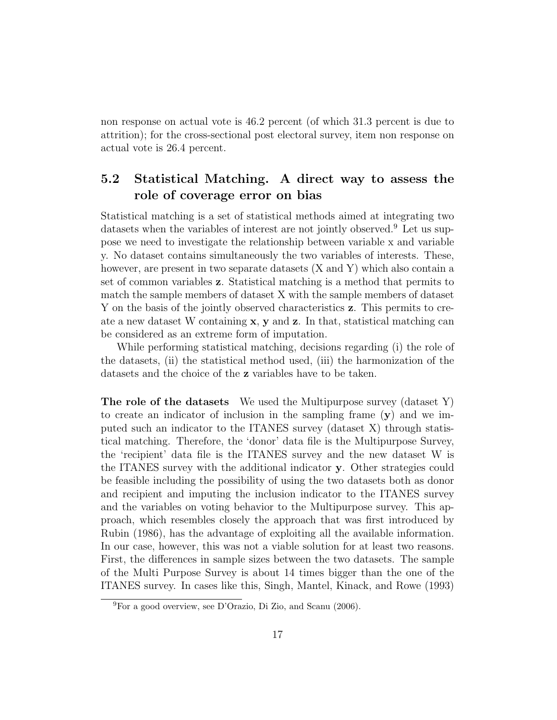non response on actual vote is 46.2 percent (of which 31.3 percent is due to attrition); for the cross-sectional post electoral survey, item non response on actual vote is 26.4 percent.

## 5.2 Statistical Matching. A direct way to assess the role of coverage error on bias

Statistical matching is a set of statistical methods aimed at integrating two datasets when the variables of interest are not jointly observed.<sup>9</sup> Let us suppose we need to investigate the relationship between variable x and variable y. No dataset contains simultaneously the two variables of interests. These, however, are present in two separate datasets (X and Y) which also contain a set of common variables z. Statistical matching is a method that permits to match the sample members of dataset X with the sample members of dataset Y on the basis of the jointly observed characteristics z. This permits to create a new dataset W containing  $x$ ,  $y$  and  $z$ . In that, statistical matching can be considered as an extreme form of imputation.

While performing statistical matching, decisions regarding (i) the role of the datasets, (ii) the statistical method used, (iii) the harmonization of the datasets and the choice of the z variables have to be taken.

The role of the datasets We used the Multipurpose survey (dataset Y) to create an indicator of inclusion in the sampling frame (y) and we imputed such an indicator to the ITANES survey (dataset X) through statistical matching. Therefore, the 'donor' data file is the Multipurpose Survey, the 'recipient' data file is the ITANES survey and the new dataset W is the ITANES survey with the additional indicator y. Other strategies could be feasible including the possibility of using the two datasets both as donor and recipient and imputing the inclusion indicator to the ITANES survey and the variables on voting behavior to the Multipurpose survey. This approach, which resembles closely the approach that was first introduced by Rubin (1986), has the advantage of exploiting all the available information. In our case, however, this was not a viable solution for at least two reasons. First, the differences in sample sizes between the two datasets. The sample of the Multi Purpose Survey is about 14 times bigger than the one of the ITANES survey. In cases like this, Singh, Mantel, Kinack, and Rowe (1993)

<sup>9</sup>For a good overview, see D'Orazio, Di Zio, and Scanu (2006).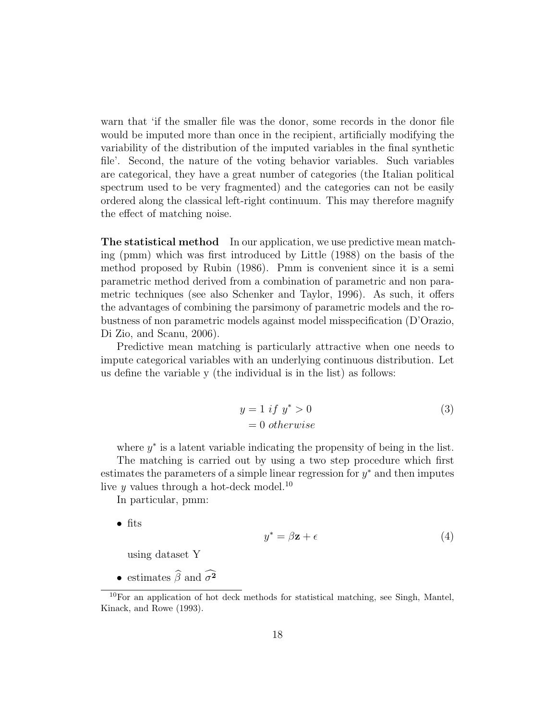warn that 'if the smaller file was the donor, some records in the donor file would be imputed more than once in the recipient, artificially modifying the variability of the distribution of the imputed variables in the final synthetic file'. Second, the nature of the voting behavior variables. Such variables are categorical, they have a great number of categories (the Italian political spectrum used to be very fragmented) and the categories can not be easily ordered along the classical left-right continuum. This may therefore magnify the effect of matching noise.

The statistical method In our application, we use predictive mean matching (pmm) which was first introduced by Little (1988) on the basis of the method proposed by Rubin (1986). Pmm is convenient since it is a semi parametric method derived from a combination of parametric and non parametric techniques (see also Schenker and Taylor, 1996). As such, it offers the advantages of combining the parsimony of parametric models and the robustness of non parametric models against model misspecification (D'Orazio, Di Zio, and Scanu, 2006).

Predictive mean matching is particularly attractive when one needs to impute categorical variables with an underlying continuous distribution. Let us define the variable y (the individual is in the list) as follows:

$$
y = 1 \text{ if } y^* > 0
$$
  
= 0 otherwise (3)

where  $y^*$  is a latent variable indicating the propensity of being in the list.

The matching is carried out by using a two step procedure which first estimates the parameters of a simple linear regression for  $y^*$  and then imputes live y values through a hot-deck model.<sup>10</sup>

In particular, pmm:

• fits

$$
y^* = \beta \mathbf{z} + \epsilon \tag{4}
$$

using dataset Y

• estimates  $\widehat{\beta}$  and  $\widehat{\sigma^2}$ 

 $10$ For an application of hot deck methods for statistical matching, see Singh, Mantel, Kinack, and Rowe (1993).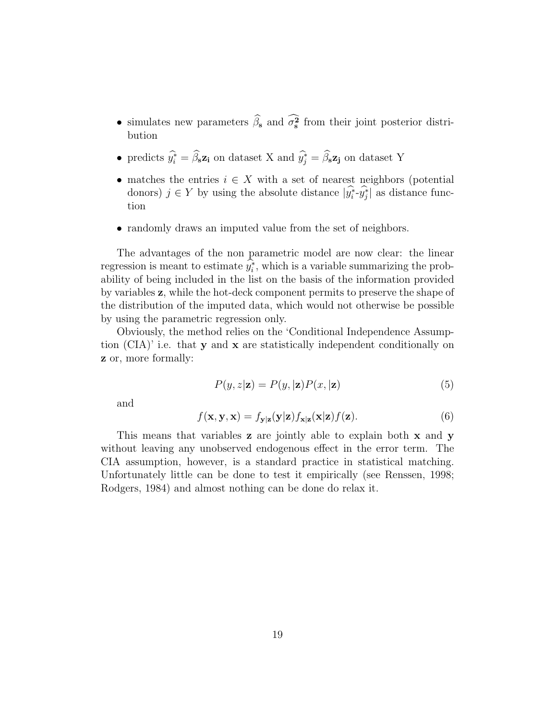- simulates new parameters  $\beta_s$  and  $\sigma_s^2$  from their joint posterior distribution
- predicts  $\hat{y}_i^* = \hat{\beta}_s \mathbf{z}_i$  on dataset X and  $\hat{y}_j^* = \hat{\beta}_s \mathbf{z}_j$  on dataset Y
- matches the entries  $i \in X$  with a set of nearest neighbors (potential donors)  $j \in Y$  by using the absolute distance  $|\widehat{y_i^*} \cdot \widehat{y_j^*}|$  as distance function
- randomly draws an imputed value from the set of neighbors.

The advantages of the non parametric model are now clear: the linear regression is meant to estimate  $y_i^*$ , which is a variable summarizing the probability of being included in the list on the basis of the information provided by variables z, while the hot-deck component permits to preserve the shape of the distribution of the imputed data, which would not otherwise be possible by using the parametric regression only.

Obviously, the method relies on the 'Conditional Independence Assumption  $(CIA)'$  i.e. that **y** and **x** are statistically independent conditionally on z or, more formally:

$$
P(y, z | \mathbf{z}) = P(y, |\mathbf{z}) P(x, |\mathbf{z})
$$
\n<sup>(5)</sup>

and

$$
f(\mathbf{x}, \mathbf{y}, \mathbf{x}) = f_{\mathbf{y}|\mathbf{z}}(\mathbf{y}|\mathbf{z}) f_{\mathbf{x}|\mathbf{z}}(\mathbf{x}|\mathbf{z}) f(\mathbf{z}).
$$
\n(6)

This means that variables **z** are jointly able to explain both **x** and **y** without leaving any unobserved endogenous effect in the error term. The CIA assumption, however, is a standard practice in statistical matching. Unfortunately little can be done to test it empirically (see Renssen, 1998; Rodgers, 1984) and almost nothing can be done do relax it.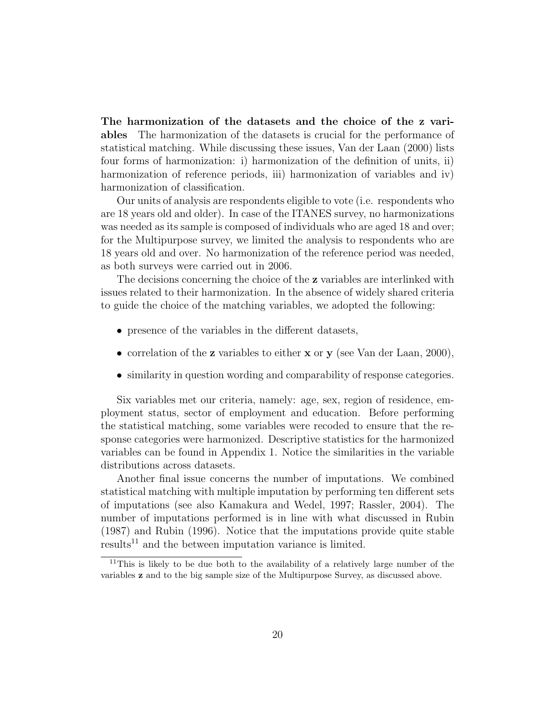The harmonization of the datasets and the choice of the z variables The harmonization of the datasets is crucial for the performance of statistical matching. While discussing these issues, Van der Laan (2000) lists four forms of harmonization: i) harmonization of the definition of units, ii) harmonization of reference periods, iii) harmonization of variables and iv) harmonization of classification.

Our units of analysis are respondents eligible to vote (i.e. respondents who are 18 years old and older). In case of the ITANES survey, no harmonizations was needed as its sample is composed of individuals who are aged 18 and over; for the Multipurpose survey, we limited the analysis to respondents who are 18 years old and over. No harmonization of the reference period was needed, as both surveys were carried out in 2006.

The decisions concerning the choice of the z variables are interlinked with issues related to their harmonization. In the absence of widely shared criteria to guide the choice of the matching variables, we adopted the following:

- presence of the variables in the different datasets,
- correlation of the **z** variables to either **x** or **y** (see Van der Laan, 2000),
- similarity in question wording and comparability of response categories.

Six variables met our criteria, namely: age, sex, region of residence, employment status, sector of employment and education. Before performing the statistical matching, some variables were recoded to ensure that the response categories were harmonized. Descriptive statistics for the harmonized variables can be found in Appendix 1. Notice the similarities in the variable distributions across datasets.

Another final issue concerns the number of imputations. We combined statistical matching with multiple imputation by performing ten different sets of imputations (see also Kamakura and Wedel, 1997; Rassler, 2004). The number of imputations performed is in line with what discussed in Rubin (1987) and Rubin (1996). Notice that the imputations provide quite stable results<sup>11</sup> and the between imputation variance is limited.

<sup>&</sup>lt;sup>11</sup>This is likely to be due both to the availability of a relatively large number of the variables z and to the big sample size of the Multipurpose Survey, as discussed above.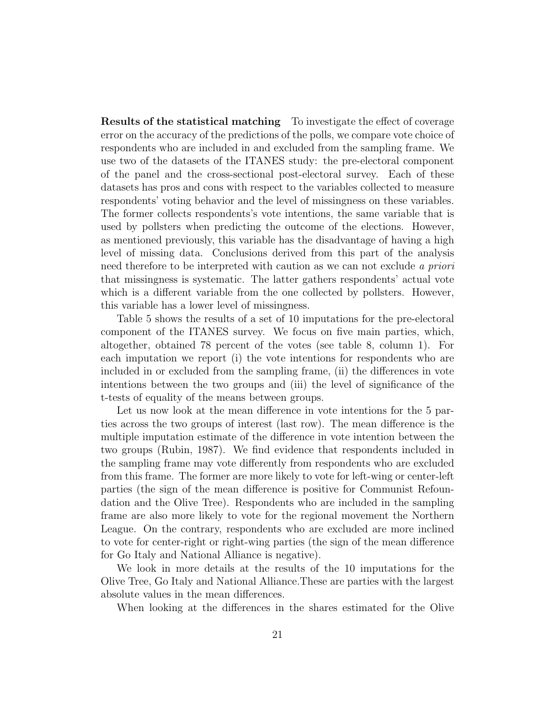Results of the statistical matching To investigate the effect of coverage error on the accuracy of the predictions of the polls, we compare vote choice of respondents who are included in and excluded from the sampling frame. We use two of the datasets of the ITANES study: the pre-electoral component of the panel and the cross-sectional post-electoral survey. Each of these datasets has pros and cons with respect to the variables collected to measure respondents' voting behavior and the level of missingness on these variables. The former collects respondents's vote intentions, the same variable that is used by pollsters when predicting the outcome of the elections. However, as mentioned previously, this variable has the disadvantage of having a high level of missing data. Conclusions derived from this part of the analysis need therefore to be interpreted with caution as we can not exclude a priori that missingness is systematic. The latter gathers respondents' actual vote which is a different variable from the one collected by pollsters. However, this variable has a lower level of missingness.

Table 5 shows the results of a set of 10 imputations for the pre-electoral component of the ITANES survey. We focus on five main parties, which, altogether, obtained 78 percent of the votes (see table 8, column 1). For each imputation we report (i) the vote intentions for respondents who are included in or excluded from the sampling frame, (ii) the differences in vote intentions between the two groups and (iii) the level of significance of the t-tests of equality of the means between groups.

Let us now look at the mean difference in vote intentions for the 5 parties across the two groups of interest (last row). The mean difference is the multiple imputation estimate of the difference in vote intention between the two groups (Rubin, 1987). We find evidence that respondents included in the sampling frame may vote differently from respondents who are excluded from this frame. The former are more likely to vote for left-wing or center-left parties (the sign of the mean difference is positive for Communist Refoundation and the Olive Tree). Respondents who are included in the sampling frame are also more likely to vote for the regional movement the Northern League. On the contrary, respondents who are excluded are more inclined to vote for center-right or right-wing parties (the sign of the mean difference for Go Italy and National Alliance is negative).

We look in more details at the results of the 10 imputations for the Olive Tree, Go Italy and National Alliance.These are parties with the largest absolute values in the mean differences.

When looking at the differences in the shares estimated for the Olive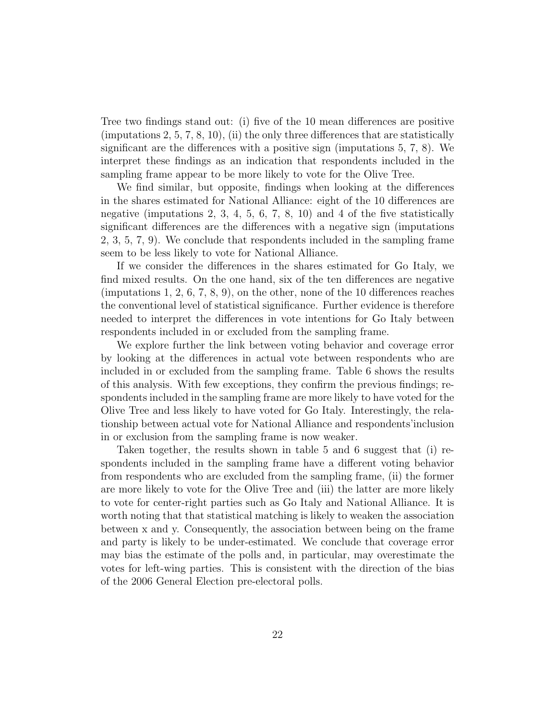Tree two findings stand out: (i) five of the 10 mean differences are positive (imputations 2, 5, 7, 8, 10), (ii) the only three differences that are statistically significant are the differences with a positive sign (imputations 5, 7, 8). We interpret these findings as an indication that respondents included in the sampling frame appear to be more likely to vote for the Olive Tree.

We find similar, but opposite, findings when looking at the differences in the shares estimated for National Alliance: eight of the 10 differences are negative (imputations 2, 3, 4, 5, 6, 7, 8, 10) and 4 of the five statistically significant differences are the differences with a negative sign (imputations 2, 3, 5, 7, 9). We conclude that respondents included in the sampling frame seem to be less likely to vote for National Alliance.

If we consider the differences in the shares estimated for Go Italy, we find mixed results. On the one hand, six of the ten differences are negative (imputations 1, 2, 6, 7, 8, 9), on the other, none of the 10 differences reaches the conventional level of statistical significance. Further evidence is therefore needed to interpret the differences in vote intentions for Go Italy between respondents included in or excluded from the sampling frame.

We explore further the link between voting behavior and coverage error by looking at the differences in actual vote between respondents who are included in or excluded from the sampling frame. Table 6 shows the results of this analysis. With few exceptions, they confirm the previous findings; respondents included in the sampling frame are more likely to have voted for the Olive Tree and less likely to have voted for Go Italy. Interestingly, the relationship between actual vote for National Alliance and respondents'inclusion in or exclusion from the sampling frame is now weaker.

Taken together, the results shown in table 5 and 6 suggest that (i) respondents included in the sampling frame have a different voting behavior from respondents who are excluded from the sampling frame, (ii) the former are more likely to vote for the Olive Tree and (iii) the latter are more likely to vote for center-right parties such as Go Italy and National Alliance. It is worth noting that that statistical matching is likely to weaken the association between x and y. Consequently, the association between being on the frame and party is likely to be under-estimated. We conclude that coverage error may bias the estimate of the polls and, in particular, may overestimate the votes for left-wing parties. This is consistent with the direction of the bias of the 2006 General Election pre-electoral polls.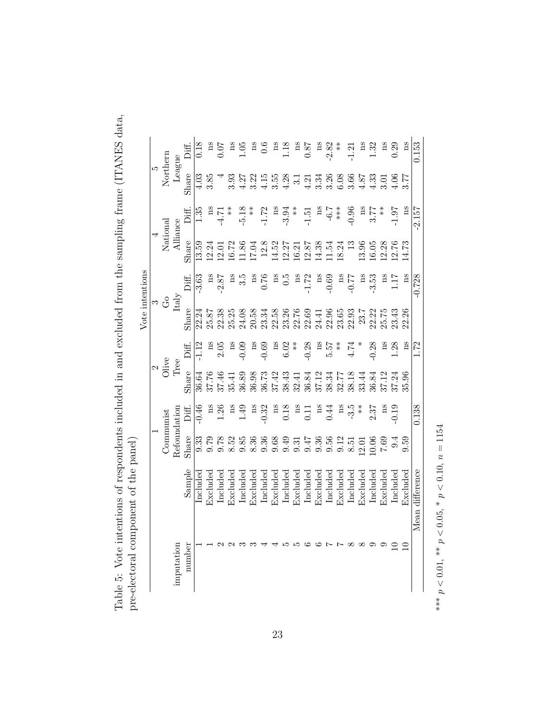| 3<br>、JAN YHT                                                                                             |                                                                           |                                                  |
|-----------------------------------------------------------------------------------------------------------|---------------------------------------------------------------------------|--------------------------------------------------|
| ntions of respondents included in and excluded from the sampling frame (ITANES dentitions)<br>-<br>.<br>. |                                                                           | $1 \sim t \sim 1 \sim t \sim t \sim \sim \infty$ |
| $\frac{1}{2}$<br>しい つけい<br>ı<br>نما م<br>ما                                                               | くちょう キャナ<br>את התו<br>こくしょく<br>1<br>i<br>j<br>ï<br>֦֧<br>no olottora<br>l |                                                  |

|                 |    |                          |               | Diff.  | 0.18     |                | 0.07           | ă        | 1.05              | ă        | $\frac{6}{1}$ | Ά        |                                             |               | 0.87                             |          | $-2.82$  | $*$                        | 1.2            | $_{\rm{gs}}$ | 1.32           | $_{\rm ns}$ | 0.29              | ΩS          | 0.153           |
|-----------------|----|--------------------------|---------------|--------|----------|----------------|----------------|----------|-------------------|----------|---------------|----------|---------------------------------------------|---------------|----------------------------------|----------|----------|----------------------------|----------------|--------------|----------------|-------------|-------------------|-------------|-----------------|
|                 | IJ | Northern                 | League        | Share  |          | 3.85           |                | 3.93     | $4.27$            | 3.22     | 4.15          |          | $\begin{array}{c} 3.55 \\ 4.28 \end{array}$ |               | $4.21$<br>3.34                   |          |          | $3.36$<br>$6.08$<br>$3.66$ |                | $4.87$       | 1.33           | $\sum$      | 66                | 3.77        |                 |
|                 |    |                          |               | Diff.  | 1.35     | ΩS             | -4.71          | $*$      | $-5.18$           | $*$      | $-1.72$       | ms       | $-3.94$                                     | $*$           | $-1.5$                           | ms       | $-6.7$   | ***                        | $-0.96$        | $_{\rm{as}}$ | 3.77           | $*$         | $-1.97$           | ns          | $-2.157$        |
|                 |    | National                 | Alliance      | Share  | 13.59    | 12.24          | 2.0            | $-6.72$  | 1.86              | 17.04    | 12.8          | 14.52    | 12.27                                       |               | $16.21$<br>12.87                 | 14.38    | 1.54     | 18.24                      | 13             | 13.96        | 16.05          | 12.28       | 12.76             | 14.73       |                 |
| Vote intentions |    |                          |               | Diff   | 3.63     | gu             | $-2.87$        | Ξ        | c<br>c            | ms       | 0.76          | gu       | 5<br>O                                      | gu            | $-1.72$                          | ms       | $-0.69$  | ns                         | $-0.77$        | $_{\rm ns}$  | $-3.53$        | ms          | LT.               | n s         | $-0.728$        |
|                 |    | ္ ၁                      | Italy         | Share  | 22.24    | $25.8^{\circ}$ | 22.38          | 25.25    | 24.08             | 20.58    | 23.34         | 22.58    | 23.26                                       | 22.76         | 22.69                            | 24.41    | 22.96    | 23.65                      | 22.93          | 23.7         | 22.22<br>25.75 |             | 23.43             | 22.26       |                 |
|                 |    |                          |               | Diff.  |          | ã              | 2.05           | Ξ        | $-0.09$           | ns       | $-0.69$       | ns       | 6.02                                        | $\frac{*}{*}$ | $-0.28$                          | ns       | 5.57     | $*$                        | 4.74           |              | 0.28           | ms          | 1.28              | $_{\rm ns}$ | 1.72            |
|                 |    | $\frac{2}{\text{Olive}}$ | $_{\rm Tree}$ | Share  | 36.64    | 37.76          | 37.46          |          | 35.41<br>36.89    | 36.98    | 36.73         | 37.42    |                                             |               | 38.43<br>32.43<br>35.52<br>37.12 |          | 38.34    |                            | 32.77<br>38.18 | 33.44        | 36.84          | 37.12       | 37.24             | 85.96       |                 |
|                 |    |                          |               | Diff.  | $-0.46$  | Ξ              | $\frac{20}{2}$ |          | 91.49             | ns       | $-0.32$       | ns       | 0.18                                        | Ξ             | $\frac{11}{2}$                   | gu       | 0.44     | ns                         | $-3.5$         | $*$          | 2.37           | gu          | $-0.19$           |             | 0.138           |
|                 |    | Communist                | Refoundation  | Share  | 9.33     | 9.79           | 9.78           | 8.52     | 9.85              | 8.36     | 9.36          | 9.68     | 9.49                                        | 9.31          | 9.47                             | 9.36     | 0.56     | 0.12                       | 8.51           | 2.01         | 0.06           | <b>7.69</b> | $\ddot{9}$        | 0.59        |                 |
|                 |    |                          |               | Sample | Includec | Excludec       | Included       | Excluded | $_{\rm included}$ | Excluded | Include       | Excluded | Included                                    | Excluded      | Included                         | Excluded | Included | Excluded                   | Included       | Excluded     | Included       | Excluded    | $_{\rm included}$ | Excluded    | Mean difference |
|                 |    |                          | imputation    | number |          |                |                |          |                   |          |               |          |                                             |               |                                  |          |          |                            |                |              |                |             |                   |             |                 |

\*\*\*  $p < 0.01$ , \*\*  $p < 0.05$ , \*  $p < 0.10$ ,  $n = 1154$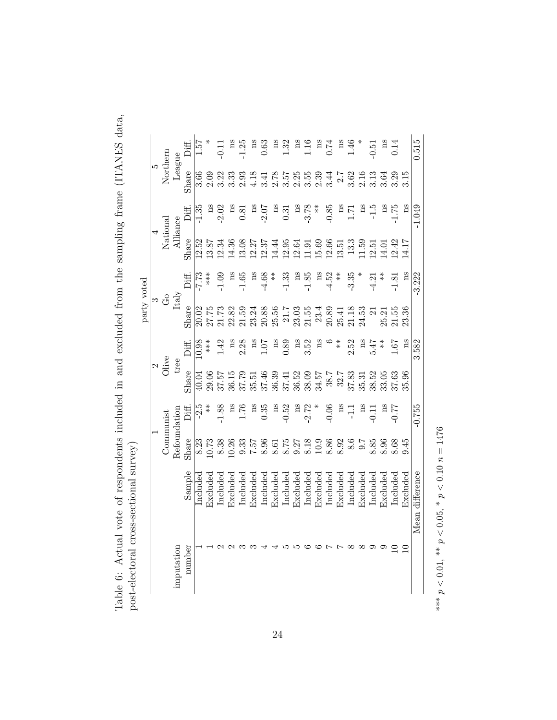| $C_{\rm max}$ and $C_{\rm max}$                                         |                                                                                                            |
|-------------------------------------------------------------------------|------------------------------------------------------------------------------------------------------------|
|                                                                         |                                                                                                            |
|                                                                         |                                                                                                            |
|                                                                         |                                                                                                            |
| ' vote of respondents included in and excluded from the sampling frame. | うりょう<br><b>G-90110109</b><br>$\frac{1}{2}$<br>֧֦֧֦֦֦֦֧֦֦֦֦֦֦֦֧֦֦֧֧֦֦֧֧֦֧֦֧֦֧֦֧֦֧֝֝֝֝֝֝֝֝֝֬֝֓֝֟֓֝֬֝֟֓֝֓֟֓֝֓ |
| く・・・・<br>l<br>)<br>$\frac{1}{2}$<br>į                                   | i<br>(<br>)<br>)<br>$\frac{1}{2}$<br>ļ<br>I                                                                |

|             |                          |                          |              | Diff.  | 29.1     |          |                   | $_{\rm ns}$     | 1.25                                       | ă           | 0.63                  | gu       | 1.32              | gu          | 1.16              | $\mathop{\mathrm{ns}}$                                                       | 0.74     | $_{\rm ns}$ | 1.46     |             | 0.51                | ag          | 0.14              |             | 0.515           |
|-------------|--------------------------|--------------------------|--------------|--------|----------|----------|-------------------|-----------------|--------------------------------------------|-------------|-----------------------|----------|-------------------|-------------|-------------------|------------------------------------------------------------------------------|----------|-------------|----------|-------------|---------------------|-------------|-------------------|-------------|-----------------|
|             | $\frac{5}{\rm{Nothern}}$ |                          | League       | Share  | 3.66     | 2.09     | 3.22              |                 | $\begin{array}{c} 3.33 \ 2.93 \end{array}$ | 4.18        | 3.4                   |          |                   |             |                   |                                                                              |          |             |          |             | $\frac{2.16}{3.13}$ | 3.64        | 3.29              | 3.15        |                 |
|             |                          |                          |              | Diff.  | 1.35     | m        | 2.02              | ã               | 0.81                                       | $_{\rm ns}$ | 2.07                  | ã        | 0.31              | $_{\rm ns}$ | $-3.78$           | $*$                                                                          | $-0.85$  | ms          | 1.71     | Ά           | $-1.5$              | ms          | $-1.75$           | $_{\rm ns}$ | $-1.049$        |
|             |                          | National                 | Alliance     | Share  | 12.52    | 13.87    | 2.34              | 14.36           | 13.08                                      |             | $\frac{12.27}{12.37}$ | 14.44    | 12.95             | 12.64       |                   | $\begin{array}{c} 1.91 \\ 1.569 \\ 1.2.51 \\ 1.3.51 \end{array}$             |          |             | 13.3     | 1.59        | 2.51                | 4.01        | 2.42              | 4.17        |                 |
|             |                          |                          |              | Diff.  | .773     | ***      | 1.09              | $_{\rm ns}$     | 1.65                                       | $_{\rm ns}$ | 4.68                  | $*$      | $-1.33$           | $_{\rm ns}$ | $-1.85$           | ns                                                                           | $-4.52$  | $*$         | $-3.35$  |             | $-4.21$             | $*$         | 1.81              | $_{\rm ns}$ | $-3.222$        |
| party voted |                          | မ ၁                      | Italy        | Share  |          | 27.75    | 21.73             |                 | 22.82<br>21.59                             |             | 23.24<br>20.88        | 25.56    | 21.7              |             |                   | $23.03$<br>$21.55$<br>$23.4$<br>$20.89$<br>$25.41$<br>$21.18$                |          |             |          | 24.53       | $\overline{\Omega}$ | 25.21       | 21.55             | 23.36       |                 |
|             |                          |                          |              | Diff.  | 0.98     | $***$    | 1.42              | ms              | 2.28                                       | ms          | 1.07                  | ms       | 0.89              | <b>ns</b>   | 3.52              | ms                                                                           |          | $*$<br>$*$  | 2.52     | ns          | 5.47                | $* *$       | 1.67              | $_{\rm ns}$ | 3.582           |
|             |                          | $\frac{2}{\text{Olive}}$ | tree         | Share  |          | 29.06    | 37.57             |                 | 36.15<br>37.79                             | 35.51       | 37.46                 | 36.39    | 37.41             | $36.52\,$   |                   | $\begin{array}{c} 38.09 \\ 7.57 \\ 7.8 \\ 8.57 \\ 7.8 \\ 8.7 \\ \end{array}$ |          |             | 37.83    | 35.31       | 38.52               | 33.05       | 37.63             | 35.96       |                 |
|             |                          |                          |              | Diff.  | $-2.5$   | $*$      | 1.88              | ã               | 1.76                                       | $_{\rm ns}$ | 0.35                  | gu       | $-0.52$           | $_{\rm ns}$ | $-2.72$           |                                                                              | $-0.06$  | gu          | 류        | $_{\rm ns}$ | $-0.11$             | $_{\rm ns}$ | 77                |             | $-0.755$        |
|             |                          | Communist                | Refoundation | Share  | 8.23     | 0.73     | 8.38              | 0.26            | $3\ddot{3}$                                | 7.57        | 8.96                  | 8.61     | 8.75              | 9.27        | 8.18              | $10.9\,$                                                                     | 8.86     | 8.92        | 8.6      | $-5.6$      | 8.85                | 8.96        | 8.68              | 9.45        |                 |
|             |                          |                          |              | Sample | Includec | Excluded | $_{\rm included}$ | $_{\rm xcdued}$ | $_{\rm included}$                          | Excluded    | $_{\rm included}$     | Excluded | $_{\rm included}$ | Excluded    | $_{\rm included}$ | Excluded                                                                     | Included | Excluded    | Included | Excluded    | $_{\rm included}$   | Excluded    | $_{\rm included}$ | Excluded    | Mean difference |
|             |                          |                          | imputation   | number |          |          |                   |                 |                                            |             |                       |          |                   |             |                   |                                                                              |          |             |          |             |                     |             |                   |             |                 |

\*\*\*  $p < 0.01$ , \*\*  $p < 0.05$ , \*  $p < 0.10$  $n = 1476$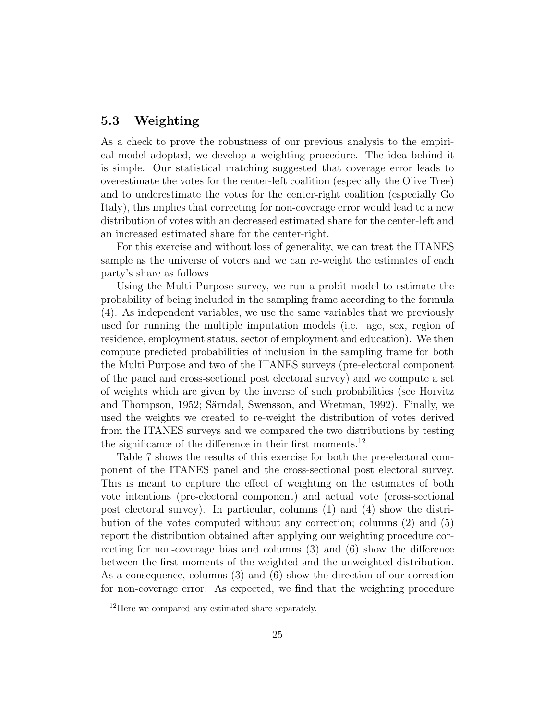#### 5.3 Weighting

As a check to prove the robustness of our previous analysis to the empirical model adopted, we develop a weighting procedure. The idea behind it is simple. Our statistical matching suggested that coverage error leads to overestimate the votes for the center-left coalition (especially the Olive Tree) and to underestimate the votes for the center-right coalition (especially Go Italy), this implies that correcting for non-coverage error would lead to a new distribution of votes with an decreased estimated share for the center-left and an increased estimated share for the center-right.

For this exercise and without loss of generality, we can treat the ITANES sample as the universe of voters and we can re-weight the estimates of each party's share as follows.

Using the Multi Purpose survey, we run a probit model to estimate the probability of being included in the sampling frame according to the formula (4). As independent variables, we use the same variables that we previously used for running the multiple imputation models (i.e. age, sex, region of residence, employment status, sector of employment and education). We then compute predicted probabilities of inclusion in the sampling frame for both the Multi Purpose and two of the ITANES surveys (pre-electoral component of the panel and cross-sectional post electoral survey) and we compute a set of weights which are given by the inverse of such probabilities (see Horvitz and Thompson, 1952; Särndal, Swensson, and Wretman, 1992). Finally, we used the weights we created to re-weight the distribution of votes derived from the ITANES surveys and we compared the two distributions by testing the significance of the difference in their first moments.<sup>12</sup>

Table 7 shows the results of this exercise for both the pre-electoral component of the ITANES panel and the cross-sectional post electoral survey. This is meant to capture the effect of weighting on the estimates of both vote intentions (pre-electoral component) and actual vote (cross-sectional post electoral survey). In particular, columns (1) and (4) show the distribution of the votes computed without any correction; columns (2) and (5) report the distribution obtained after applying our weighting procedure correcting for non-coverage bias and columns (3) and (6) show the difference between the first moments of the weighted and the unweighted distribution. As a consequence, columns (3) and (6) show the direction of our correction for non-coverage error. As expected, we find that the weighting procedure

<sup>&</sup>lt;sup>12</sup>Here we compared any estimated share separately.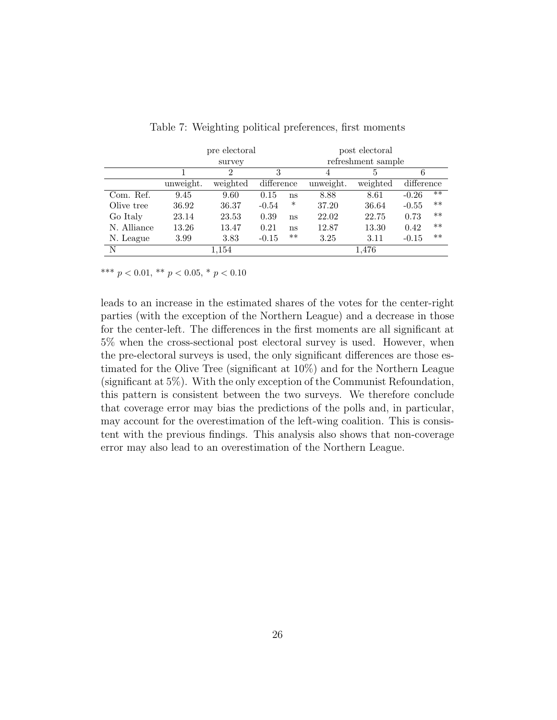|             |           | pre electoral |            |       | post electoral     |          |            |       |  |  |  |  |
|-------------|-----------|---------------|------------|-------|--------------------|----------|------------|-------|--|--|--|--|
|             |           | survey        |            |       | refreshment sample |          |            |       |  |  |  |  |
|             |           | 2             | 3          |       | 4                  | 5.       | 6          |       |  |  |  |  |
|             | unweight. | weighted      | difference |       | unweight.          | weighted | difference |       |  |  |  |  |
| Com. Ref.   | 9.45      | 9.60          | 0.15       | ns    | 8.88               | 8.61     | $-0.26$    | $***$ |  |  |  |  |
| Olive tree  | 36.92     | 36.37         | $-0.54$    | ∗     | 37.20              | 36.64    | $-0.55$    | $***$ |  |  |  |  |
| Go Italy    | 23.14     | 23.53         | 0.39       | ns    | 22.02              | 22.75    | 0.73       | $**$  |  |  |  |  |
| N. Alliance | 13.26     | 13.47         | 0.21       | ns    | 12.87              | 13.30    | 0.42       | $***$ |  |  |  |  |
| N. League   | 3.99      | 3.83          | $-0.15$    | $***$ | 3.25               | 3.11     | $-0.15$    | $***$ |  |  |  |  |
| N           |           | 1,154         |            |       |                    | 1,476    |            |       |  |  |  |  |

Table 7: Weighting political preferences, first moments

\*\*\*  $p < 0.01$ , \*\*  $p < 0.05$ , \*  $p < 0.10$ 

leads to an increase in the estimated shares of the votes for the center-right parties (with the exception of the Northern League) and a decrease in those for the center-left. The differences in the first moments are all significant at 5% when the cross-sectional post electoral survey is used. However, when the pre-electoral surveys is used, the only significant differences are those estimated for the Olive Tree (significant at 10%) and for the Northern League (significant at 5%). With the only exception of the Communist Refoundation, this pattern is consistent between the two surveys. We therefore conclude that coverage error may bias the predictions of the polls and, in particular, may account for the overestimation of the left-wing coalition. This is consistent with the previous findings. This analysis also shows that non-coverage error may also lead to an overestimation of the Northern League.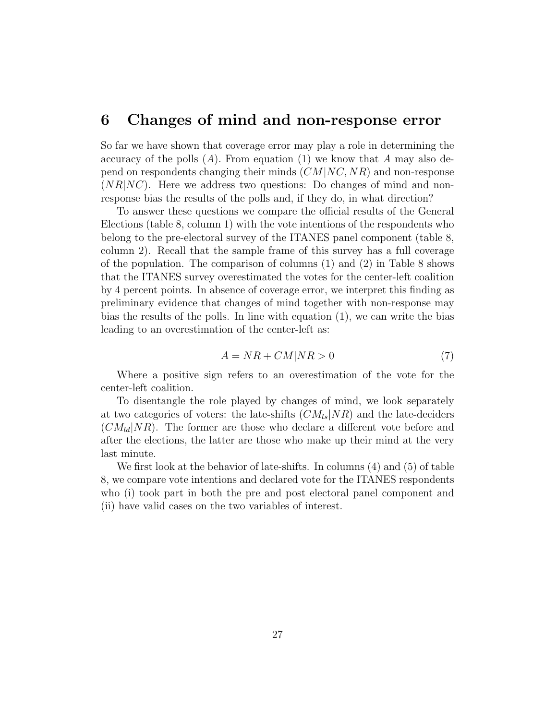### 6 Changes of mind and non-response error

So far we have shown that coverage error may play a role in determining the accuracy of the polls  $(A)$ . From equation  $(1)$  we know that A may also depend on respondents changing their minds  $(CM|NC, NR)$  and non-response  $(NR|NC)$ . Here we address two questions: Do changes of mind and nonresponse bias the results of the polls and, if they do, in what direction?

To answer these questions we compare the official results of the General Elections (table 8, column 1) with the vote intentions of the respondents who belong to the pre-electoral survey of the ITANES panel component (table 8, column 2). Recall that the sample frame of this survey has a full coverage of the population. The comparison of columns (1) and (2) in Table 8 shows that the ITANES survey overestimated the votes for the center-left coalition by 4 percent points. In absence of coverage error, we interpret this finding as preliminary evidence that changes of mind together with non-response may bias the results of the polls. In line with equation (1), we can write the bias leading to an overestimation of the center-left as:

$$
A = NR + CM|NR > 0\tag{7}
$$

Where a positive sign refers to an overestimation of the vote for the center-left coalition.

To disentangle the role played by changes of mind, we look separately at two categories of voters: the late-shifts  $(CM_{ls}|NR)$  and the late-deciders  $(CM_{ld}|NR)$ . The former are those who declare a different vote before and after the elections, the latter are those who make up their mind at the very last minute.

We first look at the behavior of late-shifts. In columns (4) and (5) of table 8, we compare vote intentions and declared vote for the ITANES respondents who (i) took part in both the pre and post electoral panel component and (ii) have valid cases on the two variables of interest.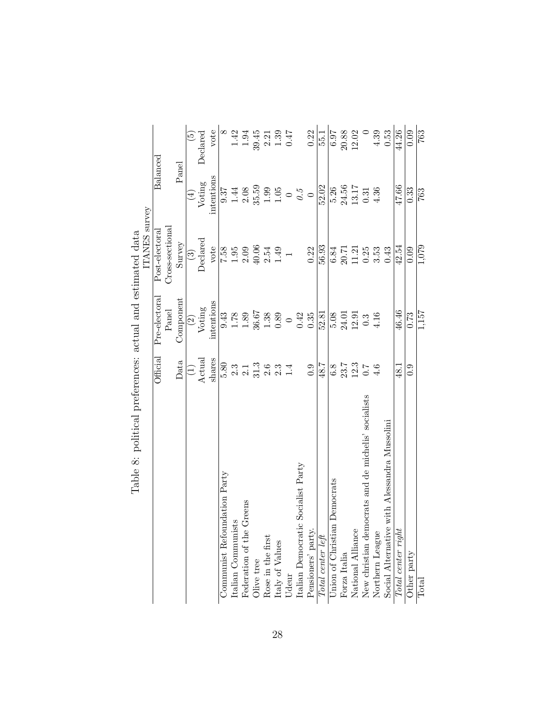|                                                           |               |               |                 |           | $\widetilde{5}$          | Declared | vote       |                              | $\begin{array}{r} 8 \\ 1.94 \\ -1.94 \end{array}$ |                          |                              | $39.45\n2.31\n-1.39\n-1.47\n-1.47\n-1.47\n-1.47\n-1.47\n-1.47\n-1.47\n-1.47\n-1.47\n-1.47\n-1.47\n-1.47\n-1.47\n-1.47\n-1.47\n-1.47\n-1.47\n-1.47\n-1.47\n-1.47\n-1.48\n-1.49\n-1.49\n-1.49\n-1.49$                                    |       |                                    | 0.22                                                               | 55.1  | 6.97                                | $20.88\,$ | 12.02                                                                                    |      | 4.39            | 0.53                                         | 44.26              | 0.09                            | 763               |
|-----------------------------------------------------------|---------------|---------------|-----------------|-----------|--------------------------|----------|------------|------------------------------|---------------------------------------------------|--------------------------|------------------------------|----------------------------------------------------------------------------------------------------------------------------------------------------------------------------------------------------------------------------------------|-------|------------------------------------|--------------------------------------------------------------------|-------|-------------------------------------|-----------|------------------------------------------------------------------------------------------|------|-----------------|----------------------------------------------|--------------------|---------------------------------|-------------------|
|                                                           |               | Balanced      |                 | Panel     |                          | Voting   | intentions |                              |                                                   |                          |                              | $\overline{9.37}$<br>$\overline{1.44}$<br>$\overline{2.08}$<br>$\overline{3.59}$<br>$\overline{3.59}$<br>$\overline{1.1}$<br>$\overline{1.0}$<br>$\overline{0}$<br>$\overline{0.5}$                                                    |       |                                    |                                                                    | 52.02 | 5.26                                |           | $24.56$<br>13.17                                                                         | 0.31 | 4.36            |                                              | 47.66              | 0.33                            | 763               |
|                                                           | ITANES survey | Post-electora | Cross-sectional | Survey    | $\binom{3}{2}$           | Declared |            |                              |                                                   |                          |                              | $\frac{1}{10}$<br>$\frac{1}{10}$<br>$\frac{1}{10}$<br>$\frac{1}{10}$<br>$\frac{1}{10}$<br>$\frac{1}{10}$<br>$\frac{1}{10}$<br>$\frac{1}{10}$<br>$\frac{1}{10}$<br>$\frac{1}{10}$<br>$\frac{1}{10}$<br>$\frac{1}{10}$<br>$\frac{1}{10}$ |       |                                    | 0.22                                                               | 56.93 | 6.84                                |           | $\begin{array}{c} 20.71 \\ 11.21 \\ 0.25 \\ 3.53 \end{array}$                            |      |                 | 0.43                                         | 42.54              | 0.09                            | 1,079             |
|                                                           |               | Pre-electora  | Panel           | Component | $\widehat{\mathfrak{D}}$ | Voting   | intentions | $\frac{13}{0.78}$            |                                                   |                          | $36.67\,$                    | $\begin{array}{c} 1.38 \\ 0.89 \end{array}$                                                                                                                                                                                            |       | $0.42$<br>$0.35$                   |                                                                    | 52.81 |                                     |           | $5.08$<br>$24.01$<br>$12.3$<br>0.3                                                       |      | 4.16            |                                              | 46.46              | 0.73                            | $\frac{1}{1.157}$ |
|                                                           |               | Official      |                 | Data      | E                        | Actual   | shares     |                              |                                                   |                          |                              |                                                                                                                                                                                                                                        | 1.4   |                                    | 0.9                                                                | 48.7  | $6.8\,$                             |           | $23.7$<br>$12.3$<br>$0.7$<br>$4.6$                                                       |      |                 |                                              | $-48.1$            | 0.9                             |                   |
| Table 8: political preferences: actual and estimated data |               |               |                 |           |                          |          |            | Communist Refoundation Party | Italian Communists                                | Federation of the Greens | Olive tree Rose in the first | $\mbox{[taly of Values}$                                                                                                                                                                                                               | Udeur | Italian Democratic Socialist Party | $\frac{\text{Pensioners'}\text{party.}}{\text{Total center left}}$ |       | <b>Jnion of Christian Democrats</b> |           | Forza Italia<br>National Alliance<br>New christian democrats and de michelis' socialists |      | Northern League | Social Alternative with Alessandra Mussolini | Total center right | $\overline{\text{Other party}}$ | Total             |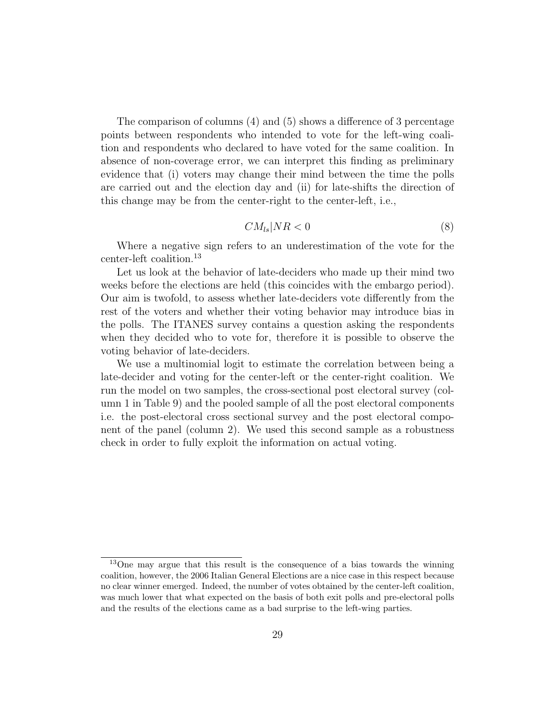The comparison of columns (4) and (5) shows a difference of 3 percentage points between respondents who intended to vote for the left-wing coalition and respondents who declared to have voted for the same coalition. In absence of non-coverage error, we can interpret this finding as preliminary evidence that (i) voters may change their mind between the time the polls are carried out and the election day and (ii) for late-shifts the direction of this change may be from the center-right to the center-left, i.e.,

$$
CM_{ls}|NR<0 \tag{8}
$$

Where a negative sign refers to an underestimation of the vote for the center-left coalition.<sup>13</sup>

Let us look at the behavior of late-deciders who made up their mind two weeks before the elections are held (this coincides with the embargo period). Our aim is twofold, to assess whether late-deciders vote differently from the rest of the voters and whether their voting behavior may introduce bias in the polls. The ITANES survey contains a question asking the respondents when they decided who to vote for, therefore it is possible to observe the voting behavior of late-deciders.

We use a multinomial logit to estimate the correlation between being a late-decider and voting for the center-left or the center-right coalition. We run the model on two samples, the cross-sectional post electoral survey (column 1 in Table 9) and the pooled sample of all the post electoral components i.e. the post-electoral cross sectional survey and the post electoral component of the panel (column 2). We used this second sample as a robustness check in order to fully exploit the information on actual voting.

<sup>13</sup>One may argue that this result is the consequence of a bias towards the winning coalition, however, the 2006 Italian General Elections are a nice case in this respect because no clear winner emerged. Indeed, the number of votes obtained by the center-left coalition, was much lower that what expected on the basis of both exit polls and pre-electoral polls and the results of the elections came as a bad surprise to the left-wing parties.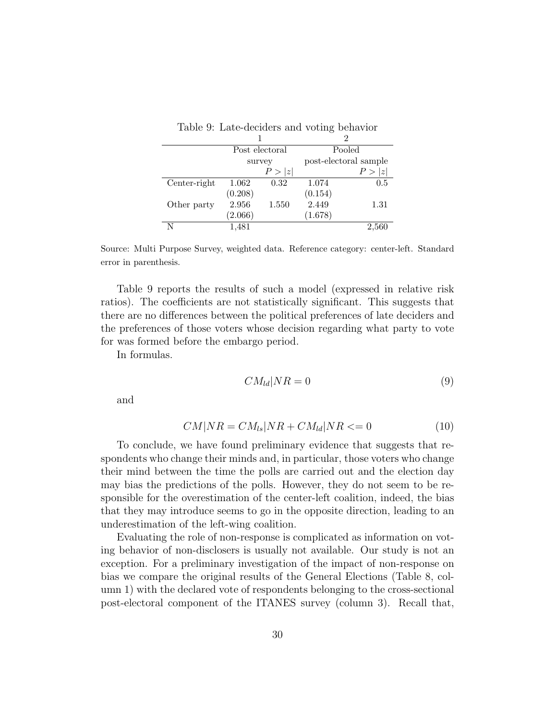|              |         |                |         | 2                     |
|--------------|---------|----------------|---------|-----------------------|
|              |         | Post electoral |         | Pooled                |
|              |         | survey         |         | post-electoral sample |
|              |         | P >  z         |         | $\tilde{z}$<br>P >    |
| Center-right | 1.062   | 0.32           | 1.074   | 0.5                   |
|              | (0.208) |                | (0.154) |                       |
| Other party  | 2.956   | 1.550          | 2.449   | 1.31                  |
|              | (2.066) |                | (1.678) |                       |
| N            | 1,481   |                |         | 2,560                 |

Table 9: Late-deciders and voting behavior

Source: Multi Purpose Survey, weighted data. Reference category: center-left. Standard error in parenthesis.

Table 9 reports the results of such a model (expressed in relative risk ratios). The coefficients are not statistically significant. This suggests that there are no differences between the political preferences of late deciders and the preferences of those voters whose decision regarding what party to vote for was formed before the embargo period.

In formulas.

$$
CM_{ld}|NR = 0 \tag{9}
$$

and

$$
CM|NR = CM_{ls}|NR + CM_{ld}|NR \leq 0 \tag{10}
$$

To conclude, we have found preliminary evidence that suggests that respondents who change their minds and, in particular, those voters who change their mind between the time the polls are carried out and the election day may bias the predictions of the polls. However, they do not seem to be responsible for the overestimation of the center-left coalition, indeed, the bias that they may introduce seems to go in the opposite direction, leading to an underestimation of the left-wing coalition.

Evaluating the role of non-response is complicated as information on voting behavior of non-disclosers is usually not available. Our study is not an exception. For a preliminary investigation of the impact of non-response on bias we compare the original results of the General Elections (Table 8, column 1) with the declared vote of respondents belonging to the cross-sectional post-electoral component of the ITANES survey (column 3). Recall that,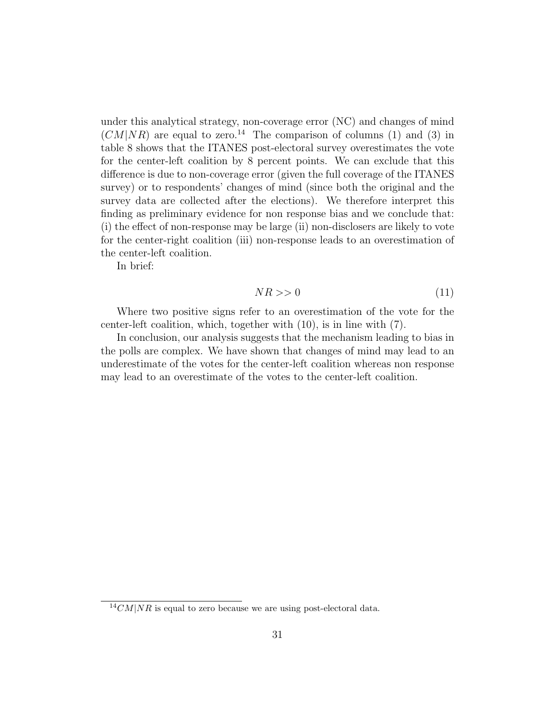under this analytical strategy, non-coverage error (NC) and changes of mind  $(CM|NR)$  are equal to zero.<sup>14</sup> The comparison of columns (1) and (3) in table 8 shows that the ITANES post-electoral survey overestimates the vote for the center-left coalition by 8 percent points. We can exclude that this difference is due to non-coverage error (given the full coverage of the ITANES survey) or to respondents' changes of mind (since both the original and the survey data are collected after the elections). We therefore interpret this finding as preliminary evidence for non response bias and we conclude that: (i) the effect of non-response may be large (ii) non-disclosers are likely to vote for the center-right coalition (iii) non-response leads to an overestimation of the center-left coalition.

In brief:

$$
NR \gg 0 \tag{11}
$$

Where two positive signs refer to an overestimation of the vote for the center-left coalition, which, together with (10), is in line with (7).

In conclusion, our analysis suggests that the mechanism leading to bias in the polls are complex. We have shown that changes of mind may lead to an underestimate of the votes for the center-left coalition whereas non response may lead to an overestimate of the votes to the center-left coalition.

 $14CM|NR$  is equal to zero because we are using post-electoral data.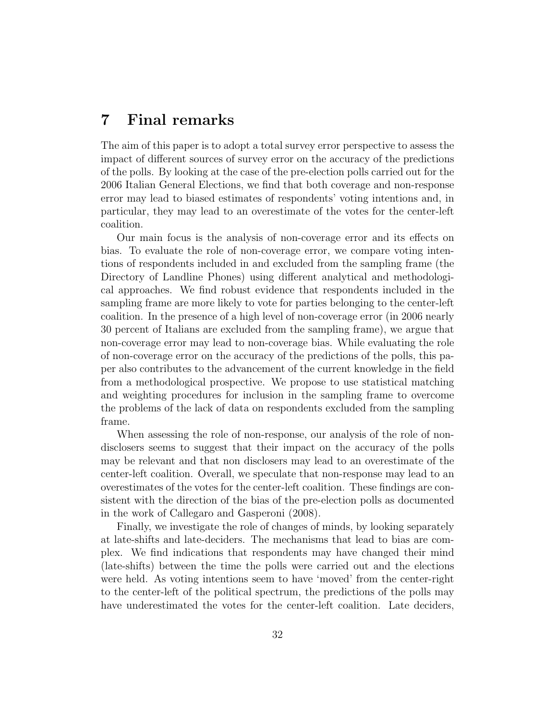## 7 Final remarks

The aim of this paper is to adopt a total survey error perspective to assess the impact of different sources of survey error on the accuracy of the predictions of the polls. By looking at the case of the pre-election polls carried out for the 2006 Italian General Elections, we find that both coverage and non-response error may lead to biased estimates of respondents' voting intentions and, in particular, they may lead to an overestimate of the votes for the center-left coalition.

Our main focus is the analysis of non-coverage error and its effects on bias. To evaluate the role of non-coverage error, we compare voting intentions of respondents included in and excluded from the sampling frame (the Directory of Landline Phones) using different analytical and methodological approaches. We find robust evidence that respondents included in the sampling frame are more likely to vote for parties belonging to the center-left coalition. In the presence of a high level of non-coverage error (in 2006 nearly 30 percent of Italians are excluded from the sampling frame), we argue that non-coverage error may lead to non-coverage bias. While evaluating the role of non-coverage error on the accuracy of the predictions of the polls, this paper also contributes to the advancement of the current knowledge in the field from a methodological prospective. We propose to use statistical matching and weighting procedures for inclusion in the sampling frame to overcome the problems of the lack of data on respondents excluded from the sampling frame.

When assessing the role of non-response, our analysis of the role of nondisclosers seems to suggest that their impact on the accuracy of the polls may be relevant and that non disclosers may lead to an overestimate of the center-left coalition. Overall, we speculate that non-response may lead to an overestimates of the votes for the center-left coalition. These findings are consistent with the direction of the bias of the pre-election polls as documented in the work of Callegaro and Gasperoni (2008).

Finally, we investigate the role of changes of minds, by looking separately at late-shifts and late-deciders. The mechanisms that lead to bias are complex. We find indications that respondents may have changed their mind (late-shifts) between the time the polls were carried out and the elections were held. As voting intentions seem to have 'moved' from the center-right to the center-left of the political spectrum, the predictions of the polls may have underestimated the votes for the center-left coalition. Late deciders,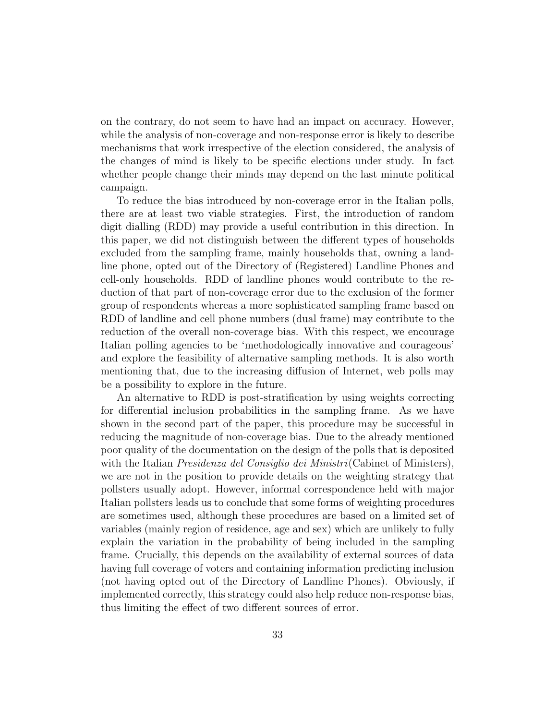on the contrary, do not seem to have had an impact on accuracy. However, while the analysis of non-coverage and non-response error is likely to describe mechanisms that work irrespective of the election considered, the analysis of the changes of mind is likely to be specific elections under study. In fact whether people change their minds may depend on the last minute political campaign.

To reduce the bias introduced by non-coverage error in the Italian polls, there are at least two viable strategies. First, the introduction of random digit dialling (RDD) may provide a useful contribution in this direction. In this paper, we did not distinguish between the different types of households excluded from the sampling frame, mainly households that, owning a landline phone, opted out of the Directory of (Registered) Landline Phones and cell-only households. RDD of landline phones would contribute to the reduction of that part of non-coverage error due to the exclusion of the former group of respondents whereas a more sophisticated sampling frame based on RDD of landline and cell phone numbers (dual frame) may contribute to the reduction of the overall non-coverage bias. With this respect, we encourage Italian polling agencies to be 'methodologically innovative and courageous' and explore the feasibility of alternative sampling methods. It is also worth mentioning that, due to the increasing diffusion of Internet, web polls may be a possibility to explore in the future.

An alternative to RDD is post-stratification by using weights correcting for differential inclusion probabilities in the sampling frame. As we have shown in the second part of the paper, this procedure may be successful in reducing the magnitude of non-coverage bias. Due to the already mentioned poor quality of the documentation on the design of the polls that is deposited with the Italian *Presidenza del Consiglio dei Ministri* (Cabinet of Ministers), we are not in the position to provide details on the weighting strategy that pollsters usually adopt. However, informal correspondence held with major Italian pollsters leads us to conclude that some forms of weighting procedures are sometimes used, although these procedures are based on a limited set of variables (mainly region of residence, age and sex) which are unlikely to fully explain the variation in the probability of being included in the sampling frame. Crucially, this depends on the availability of external sources of data having full coverage of voters and containing information predicting inclusion (not having opted out of the Directory of Landline Phones). Obviously, if implemented correctly, this strategy could also help reduce non-response bias, thus limiting the effect of two different sources of error.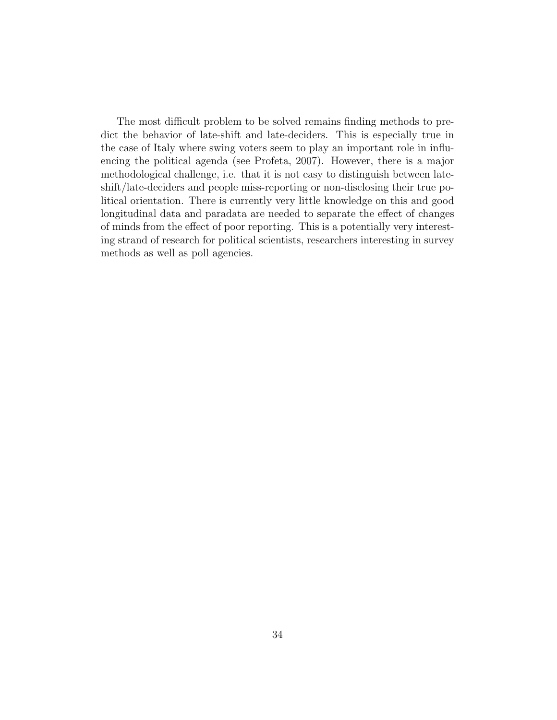The most difficult problem to be solved remains finding methods to predict the behavior of late-shift and late-deciders. This is especially true in the case of Italy where swing voters seem to play an important role in influencing the political agenda (see Profeta, 2007). However, there is a major methodological challenge, i.e. that it is not easy to distinguish between lateshift/late-deciders and people miss-reporting or non-disclosing their true political orientation. There is currently very little knowledge on this and good longitudinal data and paradata are needed to separate the effect of changes of minds from the effect of poor reporting. This is a potentially very interesting strand of research for political scientists, researchers interesting in survey methods as well as poll agencies.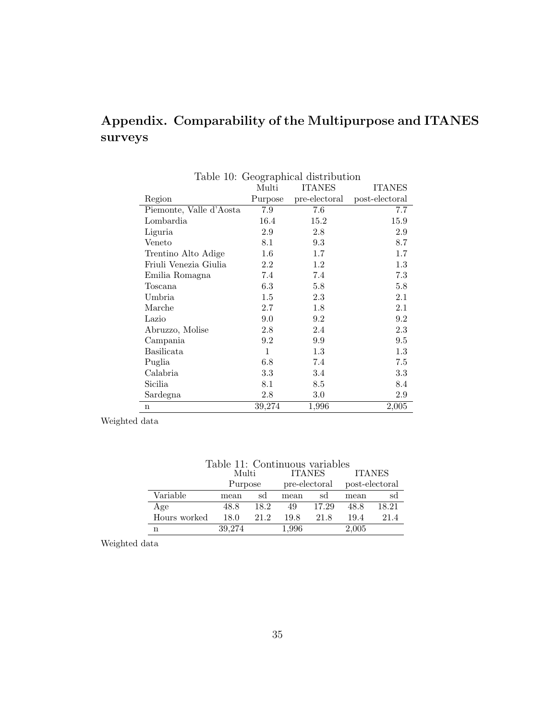# Appendix. Comparability of the Multipurpose and ITANES surveys

|                         | Multi   | <b>ITANES</b> | <b>ITANES</b>  |
|-------------------------|---------|---------------|----------------|
| Region                  | Purpose | pre-electoral | post-electoral |
| Piemonte, Valle d'Aosta | 7.9     | 7.6           | 7.7            |
| Lombardia               | 16.4    | 15.2          | 15.9           |
| Liguria                 | $2.9\,$ | 2.8           | 2.9            |
| Veneto                  | 8.1     | 9.3           | 8.7            |
| Trentino Alto Adige     | $1.6\,$ | $1.7\,$       | 1.7            |
| Friuli Venezia Giulia   | 2.2     | 1.2           | 1.3            |
| Emilia Romagna          | 7.4     | 7.4           | 7.3            |
| Toscana                 | 6.3     | 5.8           | 5.8            |
| Umbria                  | $1.5\,$ | 2.3           | 2.1            |
| Marche                  | 2.7     | 1.8           | 2.1            |
| Lazio                   | 9.0     | 9.2           | 9.2            |
| Abruzzo, Molise         | 2.8     | 2.4           | 2.3            |
| Campania                | 9.2     | 9.9           | 9.5            |
| Basilicata              | 1       | $1.3\,$       | 1.3            |
| Puglia                  | 6.8     | 7.4           | 7.5            |
| Calabria                | 3.3     | 3.4           | $3.3\,$        |
| Sicilia                 | 8.1     | 8.5           | 8.4            |
| Sardegna                | 2.8     | 3.0           | 2.9            |
| n                       | 39,274  | 1,996         | 2,005          |

### Table 10: Geographical distribution

Weighted data

| Table 11: Continuous variables |         |      |               |       |                |       |  |  |
|--------------------------------|---------|------|---------------|-------|----------------|-------|--|--|
|                                | Multi   |      | <b>ITANES</b> |       | <b>ITANES</b>  |       |  |  |
|                                | Purpose |      | pre-electoral |       | post-electoral |       |  |  |
| Variable                       | mean    | sd   | mean          | sd    | mean           | sd    |  |  |
| Age                            | 48.8    | 18.2 | 49            | 17.29 | 48.8           | 18.21 |  |  |
| Hours worked                   | 18.0    | 21 2 | 19.8          | 21.8  | 19.4           | 21.4  |  |  |
| n                              | 39,274  |      | 1,996         |       | 2,005          |       |  |  |

Weighted data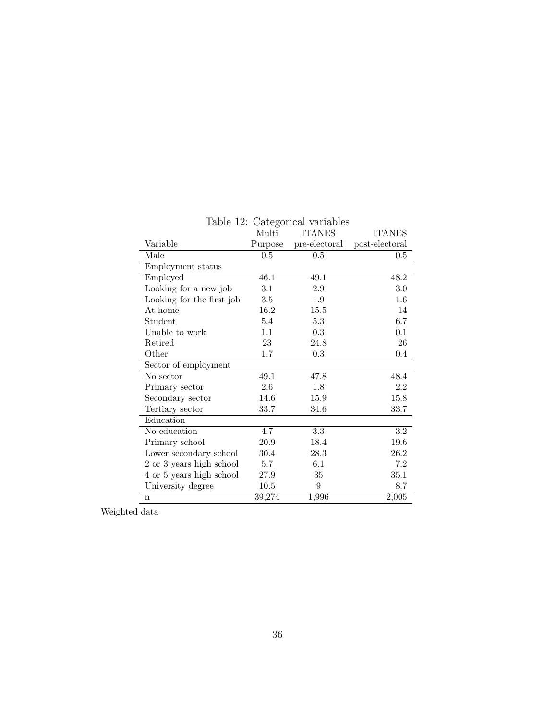|                           | Multi   | $10010$ $12.$ $0000$ . $001000$ $001000$<br><b>ITANES</b> | <b>ITANES</b>  |
|---------------------------|---------|-----------------------------------------------------------|----------------|
| Variable                  | Purpose | pre-electoral                                             | post-electoral |
| Male                      | $0.5\,$ | 0.5                                                       | 0.5            |
| Employment status         |         |                                                           |                |
| Employed                  | 46.1    | 49.1                                                      | 48.2           |
| Looking for a new job     | 3.1     | 2.9                                                       | 3.0            |
| Looking for the first job | 3.5     | 1.9                                                       | $1.6\,$        |
| At home                   | 16.2    | 15.5                                                      | 14             |
| Student                   | 5.4     | 5.3                                                       | 6.7            |
| Unable to work            | 1.1     | 0.3                                                       | 0.1            |
| Retired                   | $23\,$  | 24.8                                                      | 26             |
| Other                     | 1.7     | 0.3                                                       | 0.4            |
| Sector of employment      |         |                                                           |                |
| No sector                 | 49.1    | 47.8                                                      | 48.4           |
| Primary sector            | 2.6     | 1.8                                                       | 2.2            |
| Secondary sector          | 14.6    | 15.9                                                      | 15.8           |
| Tertiary sector           | 33.7    | 34.6                                                      | 33.7           |
| Education                 |         |                                                           |                |
| No education              | 4.7     | 3.3                                                       | $\!3.2\!$      |
| Primary school            | 20.9    | 18.4                                                      | 19.6           |
| Lower secondary school    | 30.4    | 28.3                                                      | 26.2           |
| 2 or 3 years high school  | 5.7     | 6.1                                                       | 7.2            |
| 4 or 5 years high school  | 27.9    | 35                                                        | 35.1           |
| University degree         | 10.5    | $\boldsymbol{9}$                                          | 8.7            |
| $\mathbf n$               | 39,274  | 1,996                                                     | 2,005          |

Table 12: Categorical variables

Weighted data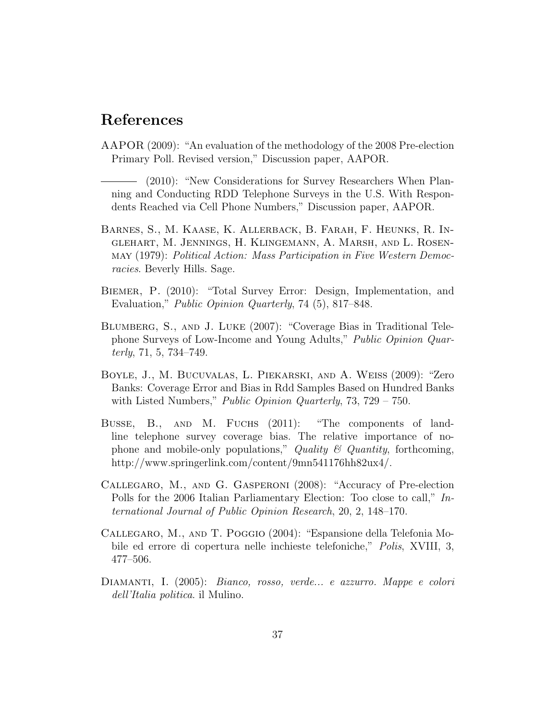## References

- AAPOR (2009): "An evaluation of the methodology of the 2008 Pre-election Primary Poll. Revised version," Discussion paper, AAPOR.
- (2010): "New Considerations for Survey Researchers When Planning and Conducting RDD Telephone Surveys in the U.S. With Respondents Reached via Cell Phone Numbers," Discussion paper, AAPOR.
- Barnes, S., M. Kaase, K. Allerback, B. Farah, F. Heunks, R. Inglehart, M. Jennings, H. Klingemann, A. Marsh, and L. Rosenmay (1979): Political Action: Mass Participation in Five Western Democracies. Beverly Hills. Sage.
- Biemer, P. (2010): "Total Survey Error: Design, Implementation, and Evaluation," Public Opinion Quarterly, 74 (5), 817–848.
- Blumberg, S., and J. Luke (2007): "Coverage Bias in Traditional Telephone Surveys of Low-Income and Young Adults," Public Opinion Quar $terly, 71, 5, 734–749.$
- Boyle, J., M. Bucuvalas, L. Piekarski, and A. Weiss (2009): "Zero Banks: Coverage Error and Bias in Rdd Samples Based on Hundred Banks with Listed Numbers," *Public Opinion Quarterly*,  $73, 729 - 750$ .
- Busse, B., AND M. FUCHS (2011): "The components of landline telephone survey coverage bias. The relative importance of nophone and mobile-only populations," Quality  $\mathcal C$  Quantity, forthcoming, http://www.springerlink.com/content/9mn541176hh82ux4/.
- Callegaro, M., and G. Gasperoni (2008): "Accuracy of Pre-election Polls for the 2006 Italian Parliamentary Election: Too close to call," International Journal of Public Opinion Research, 20, 2, 148–170.
- Callegaro, M., and T. Poggio (2004): "Espansione della Telefonia Mobile ed errore di copertura nelle inchieste telefoniche," Polis, XVIII, 3, 477–506.
- Diamanti, I. (2005): Bianco, rosso, verde... e azzurro. Mappe e colori dell'Italia politica. il Mulino.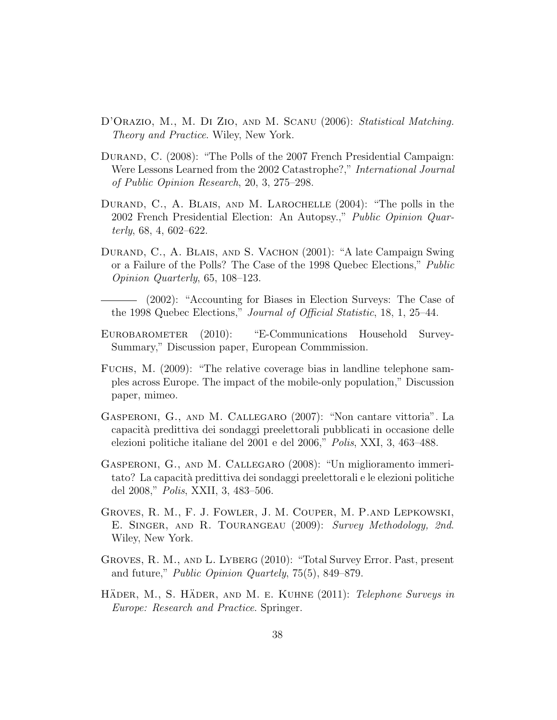- D'ORAZIO, M., M. DI ZIO, AND M. SCANU (2006): Statistical Matching. Theory and Practice. Wiley, New York.
- DURAND, C. (2008): "The Polls of the 2007 French Presidential Campaign: Were Lessons Learned from the 2002 Catastrophe?," International Journal of Public Opinion Research, 20, 3, 275–298.
- DURAND, C., A. BLAIS, AND M. LAROCHELLE  $(2004)$ : "The polls in the 2002 French Presidential Election: An Autopsy.," Public Opinion Quarterly, 68, 4, 602–622.
- DURAND, C., A. BLAIS, AND S. VACHON (2001): "A late Campaign Swing or a Failure of the Polls? The Case of the 1998 Quebec Elections," Public Opinion Quarterly, 65, 108–123.
- (2002): "Accounting for Biases in Election Surveys: The Case of the 1998 Quebec Elections," Journal of Official Statistic, 18, 1, 25–44.
- Eurobarometer (2010): "E-Communications Household Survey-Summary," Discussion paper, European Commmission.
- Fuchs, M. (2009): "The relative coverage bias in landline telephone samples across Europe. The impact of the mobile-only population," Discussion paper, mimeo.
- Gasperoni, G., and M. Callegaro (2007): "Non cantare vittoria". La capacit`a predittiva dei sondaggi preelettorali pubblicati in occasione delle elezioni politiche italiane del 2001 e del 2006," Polis, XXI, 3, 463–488.
- Gasperoni, G., and M. Callegaro (2008): "Un miglioramento immeritato? La capacità predittiva dei sondaggi preelettorali e le elezioni politiche del 2008," Polis, XXII, 3, 483–506.
- Groves, R. M., F. J. Fowler, J. M. Couper, M. P.and Lepkowski, E. Singer, and R. Tourangeau (2009): Survey Methodology, 2nd. Wiley, New York.
- Groves, R. M., and L. Lyberg (2010): "Total Survey Error. Past, present and future," Public Opinion Quartely, 75(5), 849–879.
- HÄDER, M., S. HÄDER, AND M. E. KUHNE (2011): Telephone Surveys in Europe: Research and Practice. Springer.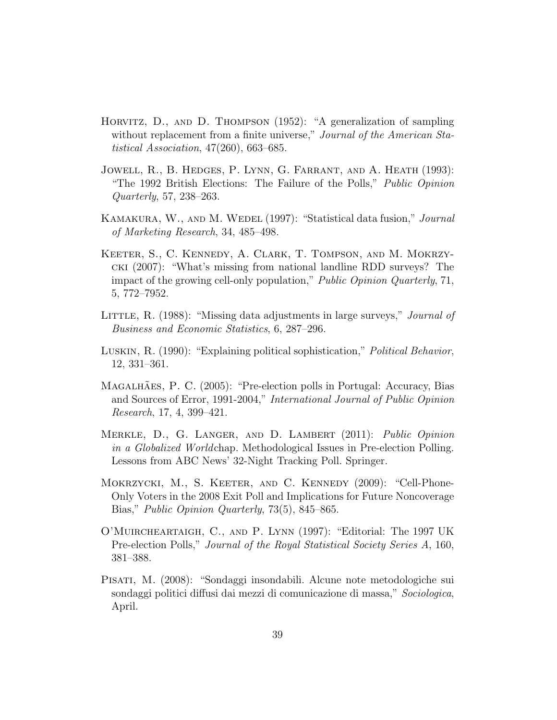- Horvitz, D., and D. Thompson (1952): "A generalization of sampling without replacement from a finite universe," *Journal of the American Sta*tistical Association, 47(260), 663–685.
- Jowell, R., B. Hedges, P. Lynn, G. Farrant, and A. Heath (1993): "The 1992 British Elections: The Failure of the Polls," Public Opinion Quarterly, 57, 238–263.
- KAMAKURA, W., AND M. WEDEL (1997): "Statistical data fusion," *Journal* of Marketing Research, 34, 485–498.
- Keeter, S., C. Kennedy, A. Clark, T. Tompson, and M. Mokrzycki (2007): "What's missing from national landline RDD surveys? The impact of the growing cell-only population," Public Opinion Quarterly, 71, 5, 772–7952.
- LITTLE, R. (1988): "Missing data adjustments in large surveys," *Journal of* Business and Economic Statistics, 6, 287–296.
- Luskin, R. (1990): "Explaining political sophistication," Political Behavior, 12, 331–361.
- MAGALHÃES, P. C. (2005): "Pre-election polls in Portugal: Accuracy, Bias and Sources of Error, 1991-2004," International Journal of Public Opinion Research, 17, 4, 399–421.
- Merkle, D., G. Langer, and D. Lambert (2011): Public Opinion in a Globalized Worldchap. Methodological Issues in Pre-election Polling. Lessons from ABC News' 32-Night Tracking Poll. Springer.
- Mokrzycki, M., S. Keeter, and C. Kennedy (2009): "Cell-Phone-Only Voters in the 2008 Exit Poll and Implications for Future Noncoverage Bias," Public Opinion Quarterly, 73(5), 845–865.
- O'Muircheartaigh, C., and P. Lynn (1997): "Editorial: The 1997 UK Pre-election Polls," Journal of the Royal Statistical Society Series A, 160, 381–388.
- Pisati, M. (2008): "Sondaggi insondabili. Alcune note metodologiche sui sondaggi politici diffusi dai mezzi di comunicazione di massa," Sociologica, April.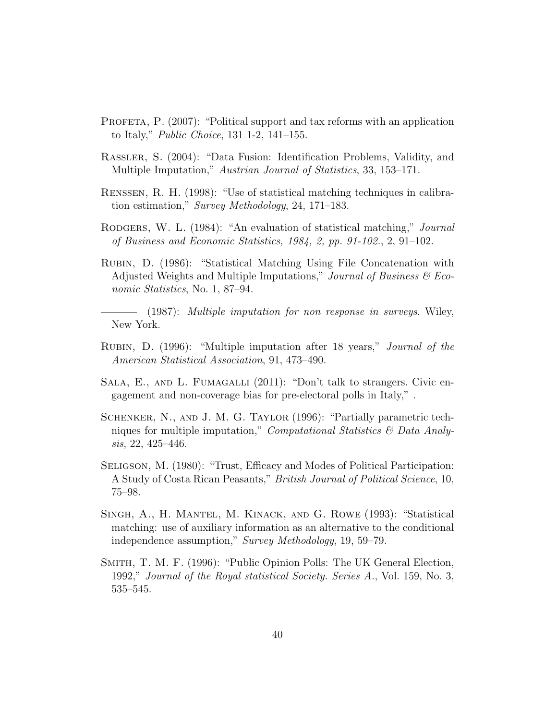- PROFETA, P. (2007): "Political support and tax reforms with an application to Italy," Public Choice, 131 1-2, 141–155.
- Rassler, S. (2004): "Data Fusion: Identification Problems, Validity, and Multiple Imputation," Austrian Journal of Statistics, 33, 153–171.
- Renssen, R. H. (1998): "Use of statistical matching techniques in calibration estimation," Survey Methodology, 24, 171–183.
- RODGERS, W. L. (1984): "An evaluation of statistical matching," *Journal* of Business and Economic Statistics, 1984, 2, pp. 91-102., 2, 91–102.
- Rubin, D. (1986): "Statistical Matching Using File Concatenation with Adjusted Weights and Multiple Imputations," Journal of Business  $\mathscr$  Economic Statistics, No. 1, 87–94.

(1987): Multiple imputation for non response in surveys. Wiley, New York.

- Rubin, D. (1996): "Multiple imputation after 18 years," Journal of the American Statistical Association, 91, 473–490.
- SALA, E., AND L. FUMAGALLI (2011): "Don't talk to strangers. Civic engagement and non-coverage bias for pre-electoral polls in Italy," .
- Schenker, N., and J. M. G. Taylor (1996): "Partially parametric techniques for multiple imputation," *Computational Statistics*  $\mathcal{B}$  *Data Analy*sis, 22, 425–446.
- Seligson, M. (1980): "Trust, Efficacy and Modes of Political Participation: A Study of Costa Rican Peasants," British Journal of Political Science, 10, 75–98.
- Singh, A., H. Mantel, M. Kinack, and G. Rowe (1993): "Statistical matching: use of auxiliary information as an alternative to the conditional independence assumption," Survey Methodology, 19, 59–79.
- Smith, T. M. F. (1996): "Public Opinion Polls: The UK General Election, 1992," Journal of the Royal statistical Society. Series A., Vol. 159, No. 3, 535–545.